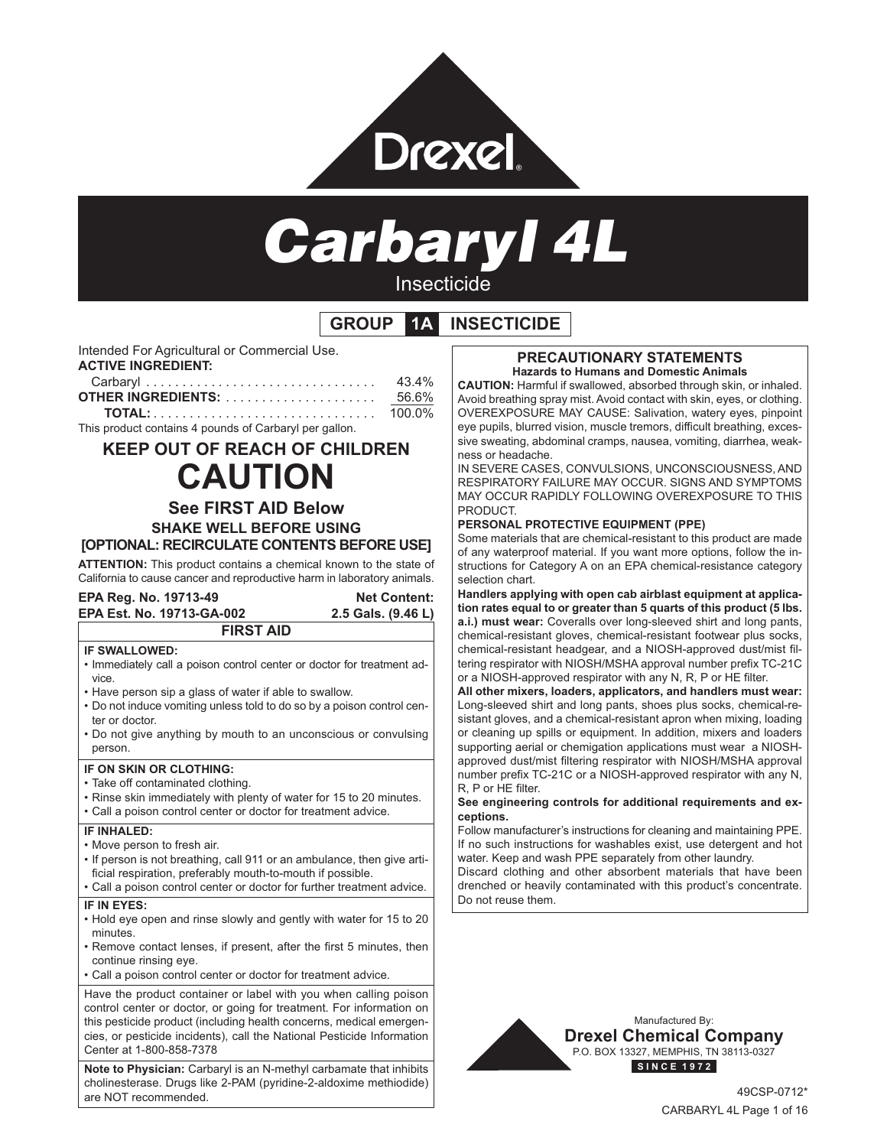

# Insecticide

# **GROUP 1A INSECTICIDE**

Intended For Agricultural or Commercial Use. **ACTIVE INGREDIENT:**

| This product contains 4 nounds of Carbaryl per gallon |  |
|-------------------------------------------------------|--|

This product contains 4 pounds of Carbaryl per gallon.

# **KEEP OUT OF REACH OF CHILDREN**

# **CAUTION**

# **See FIRST AID Below SHAKE WELL BEFORE USING**

**[OPTIONAL: RECIRCULATE CONTENTS BEFORE USE]**

**ATTENTION:** This product contains a chemical known to the state of California to cause cancer and reproductive harm in laboratory animals.

#### **EPA Reg. No. 19713-49 Net Content: EPA Est. No. 19713-GA-002 FIRST AID**

#### **IF SWALLOWED:**

- Immediately call a poison control center or doctor for treatment advice.
- Have person sip a glass of water if able to swallow.
- Do not induce vomiting unless told to do so by a poison control center or doctor.
- Do not give anything by mouth to an unconscious or convulsing person.

#### **IF ON SKIN OR CLOTHING:**

- Take off contaminated clothing.
- Rinse skin immediately with plenty of water for 15 to 20 minutes. • Call a poison control center or doctor for treatment advice.

#### **IF INHALED:**

- Move person to fresh air.
- If person is not breathing, call 911 or an ambulance, then give artificial respiration, preferably mouth-to-mouth if possible.
- Call a poison control center or doctor for further treatment advice.

#### **IF IN EYES:**

- Hold eye open and rinse slowly and gently with water for 15 to 20 minutes.
- Remove contact lenses, if present, after the first 5 minutes, then continue rinsing eye.
- Call a poison control center or doctor for treatment advice.

Have the product container or label with you when calling poison control center or doctor, or going for treatment. For information on this pesticide product (including health concerns, medical emergencies, or pesticide incidents), call the National Pesticide Information Center at 1-800-858-7378

**Note to Physician:** Carbaryl is an N-methyl carbamate that inhibits cholinesterase. Drugs like 2-PAM (pyridine-2-aldoxime methiodide) are NOT recommended.

#### **PRECAUTIONARY STATEMENTS Hazards to Humans and Domestic Animals**

**CAUTION:** Harmful if swallowed, absorbed through skin, or inhaled. Avoid breathing spray mist. Avoid contact with skin, eyes, or clothing. OVEREXPOSURE MAY CAUSE: Salivation, watery eyes, pinpoint eye pupils, blurred vision, muscle tremors, difficult breathing, excessive sweating, abdominal cramps, nausea, vomiting, diarrhea, weakness or headache.

IN SEVERE CASES, CONVULSIONS, UNCONSCIOUSNESS, AND RESPIRATORY FAILURE MAY OCCUR. SIGNS AND SYMPTOMS MAY OCCUR RAPIDLY FOLLOWING OVEREXPOSURE TO THIS PRODUCT.

#### **PERSONAL PROTECTIVE EQUIPMENT (PPE)**

Some materials that are chemical-resistant to this product are made of any waterproof material. If you want more options, follow the instructions for Category A on an EPA chemical-resistance category selection chart.

**Handlers applying with open cab airblast equipment at application rates equal to or greater than 5 quarts of this product (5 lbs. a.i.) must wear:** Coveralls over long-sleeved shirt and long pants, chemical-resistant gloves, chemical-resistant footwear plus socks, chemical-resistant headgear, and a NIOSH-approved dust/mist filtering respirator with NIOSH/MSHA approval number prefix TC-21C or a NIOSH-approved respirator with any N, R, P or HE filter.

**All other mixers, loaders, applicators, and handlers must wear:** Long-sleeved shirt and long pants, shoes plus socks, chemical-resistant gloves, and a chemical-resistant apron when mixing, loading or cleaning up spills or equipment. In addition, mixers and loaders supporting aerial or chemigation applications must wear a NIOSHapproved dust/mist filtering respirator with NIOSH/MSHA approval number prefix TC-21C or a NIOSH-approved respirator with any N, R. P or HE filter.

#### **See engineering controls for additional requirements and exceptions.**

Follow manufacturer's instructions for cleaning and maintaining PPE. If no such instructions for washables exist, use detergent and hot water. Keep and wash PPE separately from other laundry.

Discard clothing and other absorbent materials that have been drenched or heavily contaminated with this product's concentrate. Do not reuse them.



Manufactured By: **Drexel Chemical Company** P.O. BOX 13327, MEMPHIS, TN 38113-0327 **S I N C E 1 9 7 2**

> CARBARYL 4L Page 1 of 16 49CSP-0712\*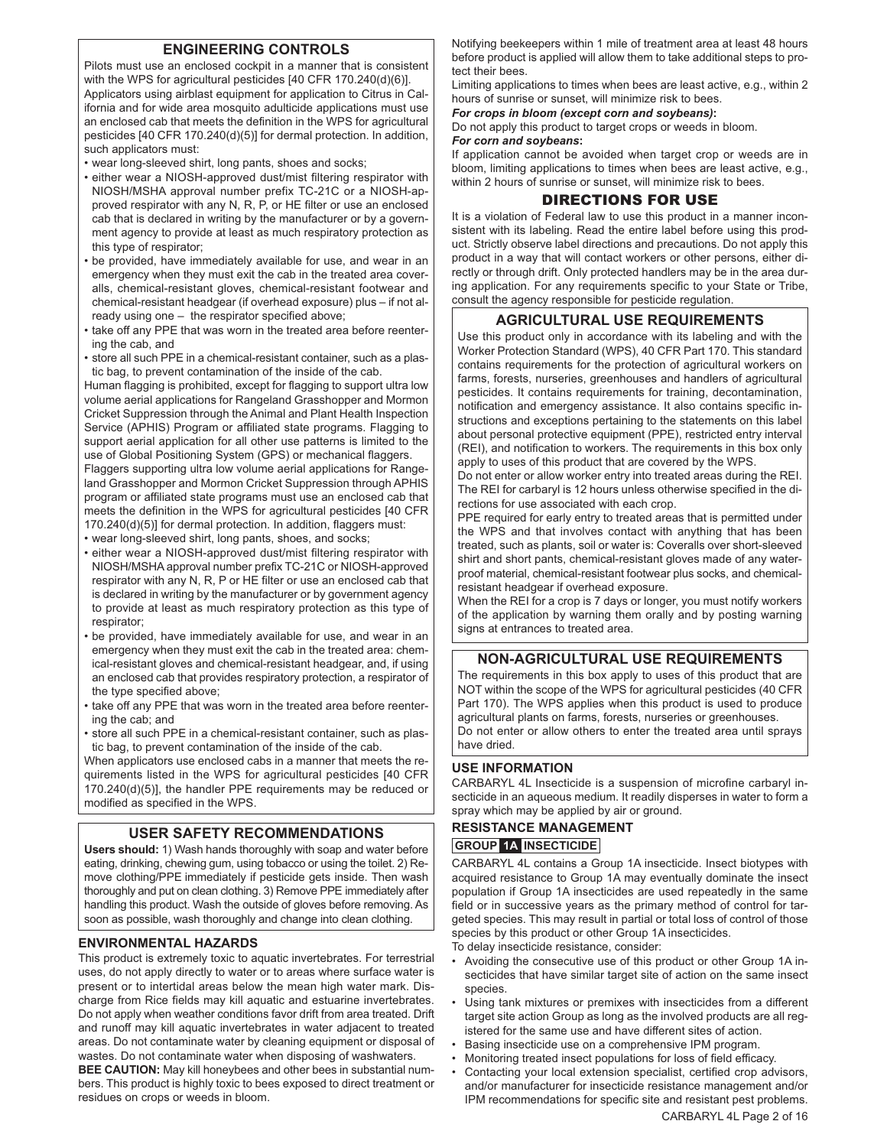#### **ENGINEERING CONTROLS**

Pilots must use an enclosed cockpit in a manner that is consistent with the WPS for agricultural pesticides [40 CFR 170.240(d)(6)]. Applicators using airblast equipment for application to Citrus in California and for wide area mosquito adulticide applications must use an enclosed cab that meets the definition in the WPS for agricultural pesticides [40 CFR 170.240(d)(5)] for dermal protection. In addition, such applicators must:

- wear long-sleeved shirt, long pants, shoes and socks;
- either wear a NIOSH-approved dust/mist filtering respirator with NIOSH/MSHA approval number prefix TC-21C or a NIOSH-approved respirator with any N, R, P, or HE filter or use an enclosed cab that is declared in writing by the manufacturer or by a government agency to provide at least as much respiratory protection as this type of respirator;
- be provided, have immediately available for use, and wear in an emergency when they must exit the cab in the treated area coveralls, chemical-resistant gloves, chemical-resistant footwear and chemical-resistant headgear (if overhead exposure) plus – if not already using one – the respirator specified above;
- take off any PPE that was worn in the treated area before reentering the cab, and
- store all such PPE in a chemical-resistant container, such as a plastic bag, to prevent contamination of the inside of the cab.

Human flagging is prohibited, except for flagging to support ultra low volume aerial applications for Rangeland Grasshopper and Mormon Cricket Suppression through the Animal and Plant Health Inspection Service (APHIS) Program or affiliated state programs. Flagging to support aerial application for all other use patterns is limited to the use of Global Positioning System (GPS) or mechanical flaggers.

Flaggers supporting ultra low volume aerial applications for Rangeland Grasshopper and Mormon Cricket Suppression through APHIS program or affiliated state programs must use an enclosed cab that meets the definition in the WPS for agricultural pesticides [40 CFR 170.240(d)(5)] for dermal protection. In addition, flaggers must:

- wear long-sleeved shirt, long pants, shoes, and socks;
- either wear a NIOSH-approved dust/mist filtering respirator with NIOSH/MSHA approval number prefix TC-21C or NIOSH-approved respirator with any N, R, P or HE filter or use an enclosed cab that is declared in writing by the manufacturer or by government agency to provide at least as much respiratory protection as this type of respirator;
- be provided, have immediately available for use, and wear in an emergency when they must exit the cab in the treated area: chemical-resistant gloves and chemical-resistant headgear, and, if using an enclosed cab that provides respiratory protection, a respirator of the type specified above;
- take off any PPE that was worn in the treated area before reentering the cab; and
- store all such PPE in a chemical-resistant container, such as plastic bag, to prevent contamination of the inside of the cab.

When applicators use enclosed cabs in a manner that meets the requirements listed in the WPS for agricultural pesticides [40 CFR 170.240(d)(5)], the handler PPE requirements may be reduced or modified as specified in the WPS.

#### **USER SAFETY RECOMMENDATIONS**

**Users should:** 1) Wash hands thoroughly with soap and water before eating, drinking, chewing gum, using tobacco or using the toilet. 2) Remove clothing/PPE immediately if pesticide gets inside. Then wash thoroughly and put on clean clothing. 3) Remove PPE immediately after handling this product. Wash the outside of gloves before removing. As soon as possible, wash thoroughly and change into clean clothing.

#### **ENVIRONMENTAL HAZARDS**

This product is extremely toxic to aquatic invertebrates. For terrestrial uses, do not apply directly to water or to areas where surface water is present or to intertidal areas below the mean high water mark. Discharge from Rice fields may kill aquatic and estuarine invertebrates. Do not apply when weather conditions favor drift from area treated. Drift and runoff may kill aquatic invertebrates in water adjacent to treated areas. Do not contaminate water by cleaning equipment or disposal of wastes. Do not contaminate water when disposing of washwaters.

**BEE CAUTION:** May kill honeybees and other bees in substantial numbers. This product is highly toxic to bees exposed to direct treatment or residues on crops or weeds in bloom.

Notifying beekeepers within 1 mile of treatment area at least 48 hours before product is applied will allow them to take additional steps to protect their bees.

Limiting applications to times when bees are least active, e.g., within 2 hours of sunrise or sunset, will minimize risk to bees.

*For crops in bloom (except corn and soybeans)***:**

Do not apply this product to target crops or weeds in bloom. *For corn and soybeans***:**

If application cannot be avoided when target crop or weeds are in bloom, limiting applications to times when bees are least active, e.g., within 2 hours of sunrise or sunset, will minimize risk to bees.

#### DIRECTIONS FOR USE

It is a violation of Federal law to use this product in a manner inconsistent with its labeling. Read the entire label before using this product. Strictly observe label directions and precautions. Do not apply this product in a way that will contact workers or other persons, either directly or through drift. Only protected handlers may be in the area during application. For any requirements specific to your State or Tribe, consult the agency responsible for pesticide regulation.

#### **AGRICULTURAL USE REQUIREMENTS**

Use this product only in accordance with its labeling and with the Worker Protection Standard (WPS), 40 CFR Part 170. This standard contains requirements for the protection of agricultural workers on farms, forests, nurseries, greenhouses and handlers of agricultural pesticides. It contains requirements for training, decontamination, notification and emergency assistance. It also contains specific instructions and exceptions pertaining to the statements on this label about personal protective equipment (PPE), restricted entry interval (REI), and notification to workers. The requirements in this box only apply to uses of this product that are covered by the WPS.

Do not enter or allow worker entry into treated areas during the REI. The REI for carbaryl is 12 hours unless otherwise specified in the directions for use associated with each crop.

PPE required for early entry to treated areas that is permitted under the WPS and that involves contact with anything that has been treated, such as plants, soil or water is: Coveralls over short-sleeved shirt and short pants, chemical-resistant gloves made of any waterproof material, chemical-resistant footwear plus socks, and chemicalresistant headgear if overhead exposure.

When the REI for a crop is 7 days or longer, you must notify workers of the application by warning them orally and by posting warning signs at entrances to treated area.

#### **NON-AGRICULTURAL USE REQUIREMENTS**

The requirements in this box apply to uses of this product that are NOT within the scope of the WPS for agricultural pesticides (40 CFR Part 170). The WPS applies when this product is used to produce agricultural plants on farms, forests, nurseries or greenhouses. Do not enter or allow others to enter the treated area until sprays have dried.

#### **USE INFORMATION**

CARBARYL 4L Insecticide is a suspension of microfine carbaryl insecticide in an aqueous medium. It readily disperses in water to form a spray which may be applied by air or ground.

#### **RESISTANCE MANAGEMENT**

#### **GROUP 1A INSECTICIDE**

CARBARYL 4L contains a Group 1A insecticide. Insect biotypes with acquired resistance to Group 1A may eventually dominate the insect population if Group 1A insecticides are used repeatedly in the same field or in successive years as the primary method of control for targeted species. This may result in partial or total loss of control of those species by this product or other Group 1A insecticides.

- To delay insecticide resistance, consider:
- Avoiding the consecutive use of this product or other Group 1A insecticides that have similar target site of action on the same insect species.
- Using tank mixtures or premixes with insecticides from a different target site action Group as long as the involved products are all registered for the same use and have different sites of action.
- Basing insecticide use on a comprehensive IPM program.
- Monitoring treated insect populations for loss of field efficacy.
- Contacting your local extension specialist, certified crop advisors, and/or manufacturer for insecticide resistance management and/or IPM recommendations for specific site and resistant pest problems. CARBARYL 4L Page 2 of 16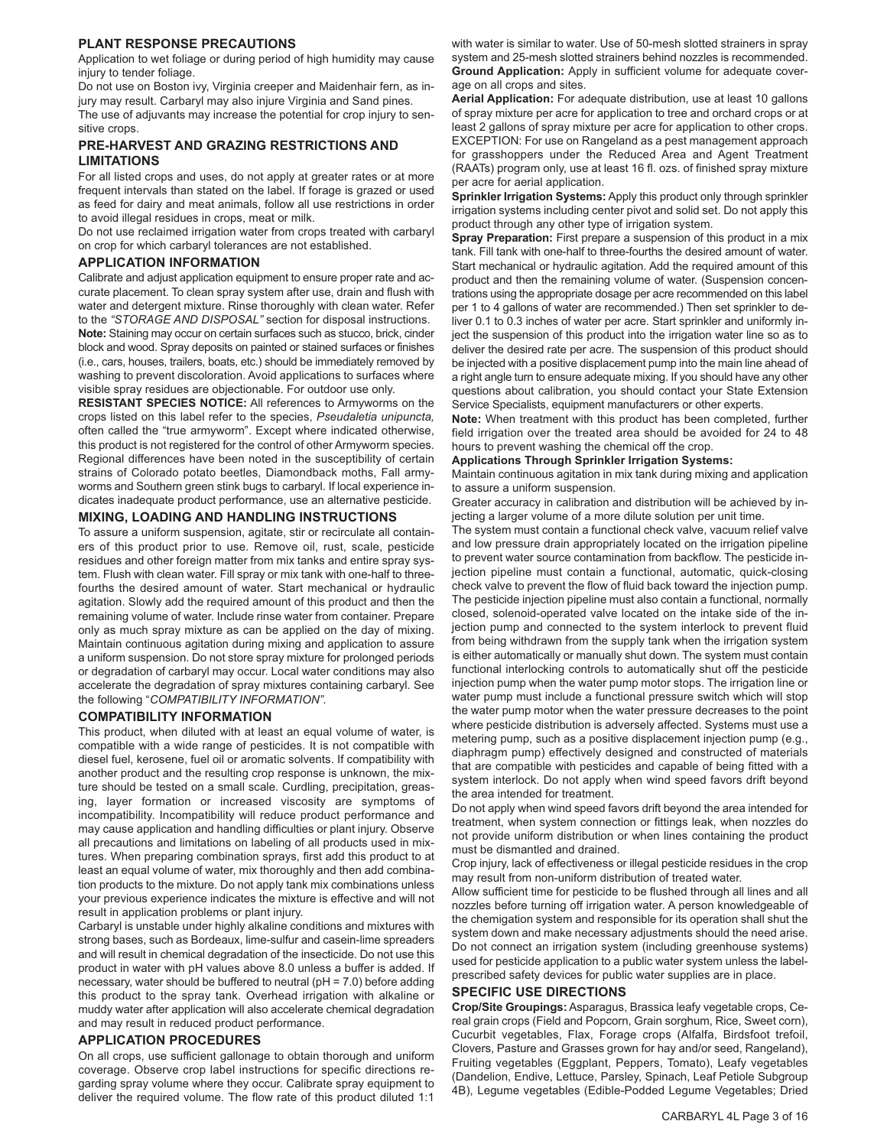#### **PLANT RESPONSE PRECAUTIONS**

Application to wet foliage or during period of high humidity may cause injury to tender foliage.

Do not use on Boston ivy, Virginia creeper and Maidenhair fern, as injury may result. Carbaryl may also injure Virginia and Sand pines.

The use of adjuvants may increase the potential for crop injury to sensitive crops.

#### **PRE-HARVEST AND GRAZING RESTRICTIONS AND LIMITATIONS**

For all listed crops and uses, do not apply at greater rates or at more frequent intervals than stated on the label. If forage is grazed or used as feed for dairy and meat animals, follow all use restrictions in order to avoid illegal residues in crops, meat or milk.

Do not use reclaimed irrigation water from crops treated with carbaryl on crop for which carbaryl tolerances are not established.

#### **APPLICATION INFORMATION**

Calibrate and adjust application equipment to ensure proper rate and accurate placement. To clean spray system after use, drain and flush with water and detergent mixture. Rinse thoroughly with clean water. Refer to the *"STORAGE AND DISPOSAL"* section for disposal instructions. **Note:** Staining may occur on certain surfaces such as stucco, brick, cinder block and wood. Spray deposits on painted or stained surfaces or finishes (i.e., cars, houses, trailers, boats, etc.) should be immediately removed by washing to prevent discoloration. Avoid applications to surfaces where visible spray residues are objectionable. For outdoor use only.

**RESISTANT SPECIES NOTICE:** All references to Armyworms on the crops listed on this label refer to the species, *Pseudaletia unipuncta,* often called the "true armyworm". Except where indicated otherwise, this product is not registered for the control of other Armyworm species. Regional differences have been noted in the susceptibility of certain strains of Colorado potato beetles, Diamondback moths, Fall armyworms and Southern green stink bugs to carbaryl. If local experience indicates inadequate product performance, use an alternative pesticide.

#### **MIXING, LOADING AND HANDLING INSTRUCTIONS**

To assure a uniform suspension, agitate, stir or recirculate all containers of this product prior to use. Remove oil, rust, scale, pesticide residues and other foreign matter from mix tanks and entire spray system. Flush with clean water. Fill spray or mix tank with one-half to threefourths the desired amount of water. Start mechanical or hydraulic agitation. Slowly add the required amount of this product and then the remaining volume of water. Include rinse water from container. Prepare only as much spray mixture as can be applied on the day of mixing. Maintain continuous agitation during mixing and application to assure a uniform suspension. Do not store spray mixture for prolonged periods or degradation of carbaryl may occur. Local water conditions may also accelerate the degradation of spray mixtures containing carbaryl. See the following "*COMPATIBILITY INFORMATION".*

#### **COMPATIBILITY INFORMATION**

This product, when diluted with at least an equal volume of water, is compatible with a wide range of pesticides. It is not compatible with diesel fuel, kerosene, fuel oil or aromatic solvents. If compatibility with another product and the resulting crop response is unknown, the mixture should be tested on a small scale. Curdling, precipitation, greasing, layer formation or increased viscosity are symptoms of incompatibility. Incompatibility will reduce product performance and may cause application and handling difficulties or plant injury. Observe all precautions and limitations on labeling of all products used in mixtures. When preparing combination sprays, first add this product to at least an equal volume of water, mix thoroughly and then add combination products to the mixture. Do not apply tank mix combinations unless your previous experience indicates the mixture is effective and will not result in application problems or plant injury.

Carbaryl is unstable under highly alkaline conditions and mixtures with strong bases, such as Bordeaux, lime-sulfur and casein-lime spreaders and will result in chemical degradation of the insecticide. Do not use this product in water with pH values above 8.0 unless a buffer is added. If necessary, water should be buffered to neutral (pH = 7.0) before adding this product to the spray tank. Overhead irrigation with alkaline or muddy water after application will also accelerate chemical degradation and may result in reduced product performance.

#### **APPLICATION PROCEDURES**

On all crops, use sufficient gallonage to obtain thorough and uniform coverage. Observe crop label instructions for specific directions regarding spray volume where they occur. Calibrate spray equipment to deliver the required volume. The flow rate of this product diluted 1:1

with water is similar to water. Use of 50-mesh slotted strainers in spray system and 25-mesh slotted strainers behind nozzles is recommended. **Ground Application:** Apply in sufficient volume for adequate coverage on all crops and sites.

**Aerial Application:** For adequate distribution, use at least 10 gallons of spray mixture per acre for application to tree and orchard crops or at least 2 gallons of spray mixture per acre for application to other crops. EXCEPTION: For use on Rangeland as a pest management approach for grasshoppers under the Reduced Area and Agent Treatment (RAATs) program only, use at least 16 fl. ozs. of finished spray mixture per acre for aerial application.

**Sprinkler Irrigation Systems:** Apply this product only through sprinkler irrigation systems including center pivot and solid set. Do not apply this product through any other type of irrigation system.

**Spray Preparation:** First prepare a suspension of this product in a mix tank. Fill tank with one-half to three-fourths the desired amount of water. Start mechanical or hydraulic agitation. Add the required amount of this product and then the remaining volume of water. (Suspension concentrations using the appropriate dosage per acre recommended on this label per 1 to 4 gallons of water are recommended.) Then set sprinkler to deliver 0.1 to 0.3 inches of water per acre. Start sprinkler and uniformly inject the suspension of this product into the irrigation water line so as to deliver the desired rate per acre. The suspension of this product should be injected with a positive displacement pump into the main line ahead of a right angle turn to ensure adequate mixing. If you should have any other questions about calibration, you should contact your State Extension Service Specialists, equipment manufacturers or other experts.

**Note:** When treatment with this product has been completed, further field irrigation over the treated area should be avoided for 24 to 48 hours to prevent washing the chemical off the crop.

#### **Applications Through Sprinkler Irrigation Systems:**

Maintain continuous agitation in mix tank during mixing and application to assure a uniform suspension.

Greater accuracy in calibration and distribution will be achieved by injecting a larger volume of a more dilute solution per unit time.

The system must contain a functional check valve, vacuum relief valve and low pressure drain appropriately located on the irrigation pipeline to prevent water source contamination from backflow. The pesticide injection pipeline must contain a functional, automatic, quick-closing check valve to prevent the flow of fluid back toward the injection pump. The pesticide injection pipeline must also contain a functional, normally closed, solenoid-operated valve located on the intake side of the injection pump and connected to the system interlock to prevent fluid from being withdrawn from the supply tank when the irrigation system is either automatically or manually shut down. The system must contain functional interlocking controls to automatically shut off the pesticide injection pump when the water pump motor stops. The irrigation line or water pump must include a functional pressure switch which will stop the water pump motor when the water pressure decreases to the point where pesticide distribution is adversely affected. Systems must use a metering pump, such as a positive displacement injection pump (e.g., diaphragm pump) effectively designed and constructed of materials that are compatible with pesticides and capable of being fitted with a system interlock. Do not apply when wind speed favors drift beyond the area intended for treatment.

Do not apply when wind speed favors drift beyond the area intended for treatment, when system connection or fittings leak, when nozzles do not provide uniform distribution or when lines containing the product must be dismantled and drained.

Crop injury, lack of effectiveness or illegal pesticide residues in the crop may result from non-uniform distribution of treated water.

Allow sufficient time for pesticide to be flushed through all lines and all nozzles before turning off irrigation water. A person knowledgeable of the chemigation system and responsible for its operation shall shut the system down and make necessary adjustments should the need arise. Do not connect an irrigation system (including greenhouse systems) used for pesticide application to a public water system unless the labelprescribed safety devices for public water supplies are in place.

#### **SPECIFIC USE DIRECTIONS**

**Crop/Site Groupings:** Asparagus, Brassica leafy vegetable crops, Cereal grain crops (Field and Popcorn, Grain sorghum, Rice, Sweet corn), Cucurbit vegetables, Flax, Forage crops (Alfalfa, Birdsfoot trefoil, Clovers, Pasture and Grasses grown for hay and/or seed, Rangeland), Fruiting vegetables (Eggplant, Peppers, Tomato), Leafy vegetables (Dandelion, Endive, Lettuce, Parsley, Spinach, Leaf Petiole Subgroup 4B), Legume vegetables (Edible-Podded Legume Vegetables; Dried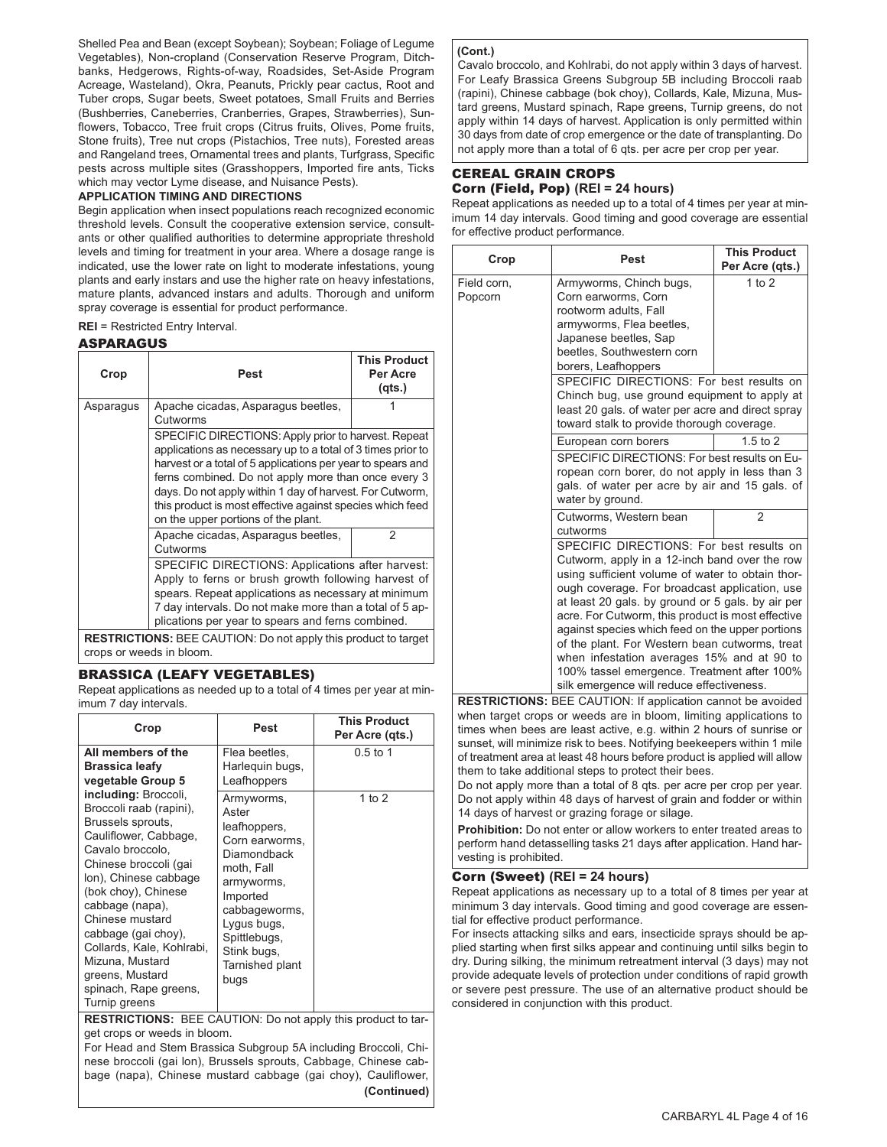Shelled Pea and Bean (except Soybean); Soybean; Foliage of Legume Vegetables), Non-cropland (Conservation Reserve Program, Ditchbanks, Hedgerows, Rights-of-way, Roadsides, Set-Aside Program Acreage, Wasteland), Okra, Peanuts, Prickly pear cactus, Root and Tuber crops, Sugar beets, Sweet potatoes, Small Fruits and Berries (Bushberries, Caneberries, Cranberries, Grapes, Strawberries), Sunflowers, Tobacco, Tree fruit crops (Citrus fruits, Olives, Pome fruits, Stone fruits), Tree nut crops (Pistachios, Tree nuts), Forested areas and Rangeland trees, Ornamental trees and plants, Turfgrass, Specific pests across multiple sites (Grasshoppers, Imported fire ants, Ticks which may vector Lyme disease, and Nuisance Pests).

#### **APPLICATION TIMING AND DIRECTIONS**

Begin application when insect populations reach recognized economic threshold levels. Consult the cooperative extension service, consultants or other qualified authorities to determine appropriate threshold levels and timing for treatment in your area. Where a dosage range is indicated, use the lower rate on light to moderate infestations, young plants and early instars and use the higher rate on heavy infestations, mature plants, advanced instars and adults. Thorough and uniform spray coverage is essential for product performance.

#### **REI** = Restricted Entry Interval.

#### ASPARAGUS

| Crop                                                                  | Pest                                                                                                                                                                                                                                                                                                                                                                                                     | <b>This Product</b><br>Per Acre<br>(qts.) |
|-----------------------------------------------------------------------|----------------------------------------------------------------------------------------------------------------------------------------------------------------------------------------------------------------------------------------------------------------------------------------------------------------------------------------------------------------------------------------------------------|-------------------------------------------|
| Asparagus                                                             | Apache cicadas, Asparagus beetles,<br>Cutworms                                                                                                                                                                                                                                                                                                                                                           |                                           |
|                                                                       | SPECIFIC DIRECTIONS: Apply prior to harvest. Repeat<br>applications as necessary up to a total of 3 times prior to<br>harvest or a total of 5 applications per year to spears and<br>ferns combined. Do not apply more than once every 3<br>days. Do not apply within 1 day of harvest. For Cutworm,<br>this product is most effective against species which feed<br>on the upper portions of the plant. |                                           |
|                                                                       | Apache cicadas, Asparagus beetles,<br>Cutworms                                                                                                                                                                                                                                                                                                                                                           | 2                                         |
|                                                                       | SPECIFIC DIRECTIONS: Applications after harvest:<br>Apply to ferns or brush growth following harvest of<br>spears. Repeat applications as necessary at minimum<br>7 day intervals. Do not make more than a total of 5 ap-<br>plications per year to spears and ferns combined.                                                                                                                           |                                           |
| <b>RESTRICTIONS: BEE CAUTION: Do not apply this product to target</b> |                                                                                                                                                                                                                                                                                                                                                                                                          |                                           |

crops or weeds in bloom.

#### BRASSICA (LEAFY VEGETABLES)

Repeat applications as needed up to a total of 4 times per year at minimum 7 day intervals.

| Crop                                                                                                                                                                                                                                                                                                                                                                 | Pest                                                                                                                                                                                                   | <b>This Product</b><br>Per Acre (qts.) |
|----------------------------------------------------------------------------------------------------------------------------------------------------------------------------------------------------------------------------------------------------------------------------------------------------------------------------------------------------------------------|--------------------------------------------------------------------------------------------------------------------------------------------------------------------------------------------------------|----------------------------------------|
| All members of the<br>Brassica leafy<br>vegetable Group 5                                                                                                                                                                                                                                                                                                            | Flea beetles.<br>Harlequin bugs,<br>Leafhoppers                                                                                                                                                        | $0.5$ to 1                             |
| including: Broccoli,<br>Broccoli raab (rapini),<br>Brussels sprouts,<br>Cauliflower, Cabbage,<br>Cavalo broccolo,<br>Chinese broccoli (gai<br>lon), Chinese cabbage<br>(bok choy), Chinese<br>cabbage (napa),<br>Chinese mustard<br>cabbage (gai choy),<br>Collards, Kale, Kohlrabi,<br>Mizuna, Mustard<br>greens, Mustard<br>spinach, Rape greens,<br>Turnip greens | Armyworms,<br>Aster<br>leafhoppers,<br>Corn earworms,<br>Diamondback<br>moth, Fall<br>armyworms,<br>Imported<br>cabbageworms,<br>Lygus bugs,<br>Spittlebugs,<br>Stink bugs,<br>Tarnished plant<br>bugs | 1 to $2$                               |

**RESTRICTIONS:** BEE CAUTION: Do not apply this product to target crops or weeds in bloom.

For Head and Stem Brassica Subgroup 5A including Broccoli, Chinese broccoli (gai lon), Brussels sprouts, Cabbage, Chinese cabbage (napa), Chinese mustard cabbage (gai choy), Cauliflower,

**(Continued)**

#### **(Cont.)**

Cavalo broccolo, and Kohlrabi, do not apply within 3 days of harvest. For Leafy Brassica Greens Subgroup 5B including Broccoli raab (rapini), Chinese cabbage (bok choy), Collards, Kale, Mizuna, Mustard greens, Mustard spinach, Rape greens, Turnip greens, do not apply within 14 days of harvest. Application is only permitted within 30 days from date of crop emergence or the date of transplanting. Do not apply more than a total of 6 qts. per acre per crop per year.

#### CEREAL GRAIN CROPS Corn (Field, Pop) **(REI = 24 hours)**

Repeat applications as needed up to a total of 4 times per year at minimum 14 day intervals. Good timing and good coverage are essential for effective product performance.

| Crop                   | Pest                                                                                                                                                                                                                                                                                                                                                                                                                                                                                                                                                     | <b>This Product</b><br>Per Acre (qts.) |
|------------------------|----------------------------------------------------------------------------------------------------------------------------------------------------------------------------------------------------------------------------------------------------------------------------------------------------------------------------------------------------------------------------------------------------------------------------------------------------------------------------------------------------------------------------------------------------------|----------------------------------------|
| Field corn.<br>Popcorn | Armyworms, Chinch bugs,<br>Corn earworms, Corn<br>rootworm adults, Fall<br>armyworms, Flea beetles,<br>Japanese beetles, Sap<br>beetles, Southwestern corn<br>borers, Leafhoppers                                                                                                                                                                                                                                                                                                                                                                        | 1 to $2$                               |
|                        | SPECIFIC DIRECTIONS: For best results on<br>Chinch bug, use ground equipment to apply at<br>least 20 gals. of water per acre and direct spray<br>toward stalk to provide thorough coverage.                                                                                                                                                                                                                                                                                                                                                              |                                        |
|                        | European corn borers                                                                                                                                                                                                                                                                                                                                                                                                                                                                                                                                     | $1.5$ to $2$                           |
|                        | SPECIFIC DIRECTIONS: For best results on Eu-<br>ropean corn borer, do not apply in less than 3<br>gals, of water per acre by air and 15 gals, of<br>water by ground.                                                                                                                                                                                                                                                                                                                                                                                     |                                        |
|                        | Cutworms, Western bean<br>cutworms                                                                                                                                                                                                                                                                                                                                                                                                                                                                                                                       | $\overline{2}$                         |
|                        | SPECIFIC DIRECTIONS: For best results on<br>Cutworm, apply in a 12-inch band over the row<br>using sufficient volume of water to obtain thor-<br>ough coverage. For broadcast application, use<br>at least 20 gals, by ground or 5 gals, by air per<br>acre. For Cutworm, this product is most effective<br>against species which feed on the upper portions<br>of the plant. For Western bean cutworms, treat<br>when infestation averages 15% and at 90 to<br>100% tassel emergence. Treatment after 100%<br>silk emergence will reduce effectiveness. |                                        |
|                        | <b>RESTRICTIONS: BEE CAUTION: If application cannot be avoided</b>                                                                                                                                                                                                                                                                                                                                                                                                                                                                                       |                                        |

when target crops or weeds are in bloom, limiting applications to times when bees are least active, e.g. within 2 hours of sunrise or sunset, will minimize risk to bees. Notifying beekeepers within 1 mile of treatment area at least 48 hours before product is applied will allow them to take additional steps to protect their bees.

Do not apply more than a total of 8 qts. per acre per crop per year. Do not apply within 48 days of harvest of grain and fodder or within 14 days of harvest or grazing forage or silage.

**Prohibition:** Do not enter or allow workers to enter treated areas to perform hand detasselling tasks 21 days after application. Hand harvesting is prohibited.

#### Corn (Sweet) **(REI = 24 hours)**

Repeat applications as necessary up to a total of 8 times per year at minimum 3 day intervals. Good timing and good coverage are essential for effective product performance.

For insects attacking silks and ears, insecticide sprays should be applied starting when first silks appear and continuing until silks begin to dry. During silking, the minimum retreatment interval (3 days) may not provide adequate levels of protection under conditions of rapid growth or severe pest pressure. The use of an alternative product should be considered in conjunction with this product.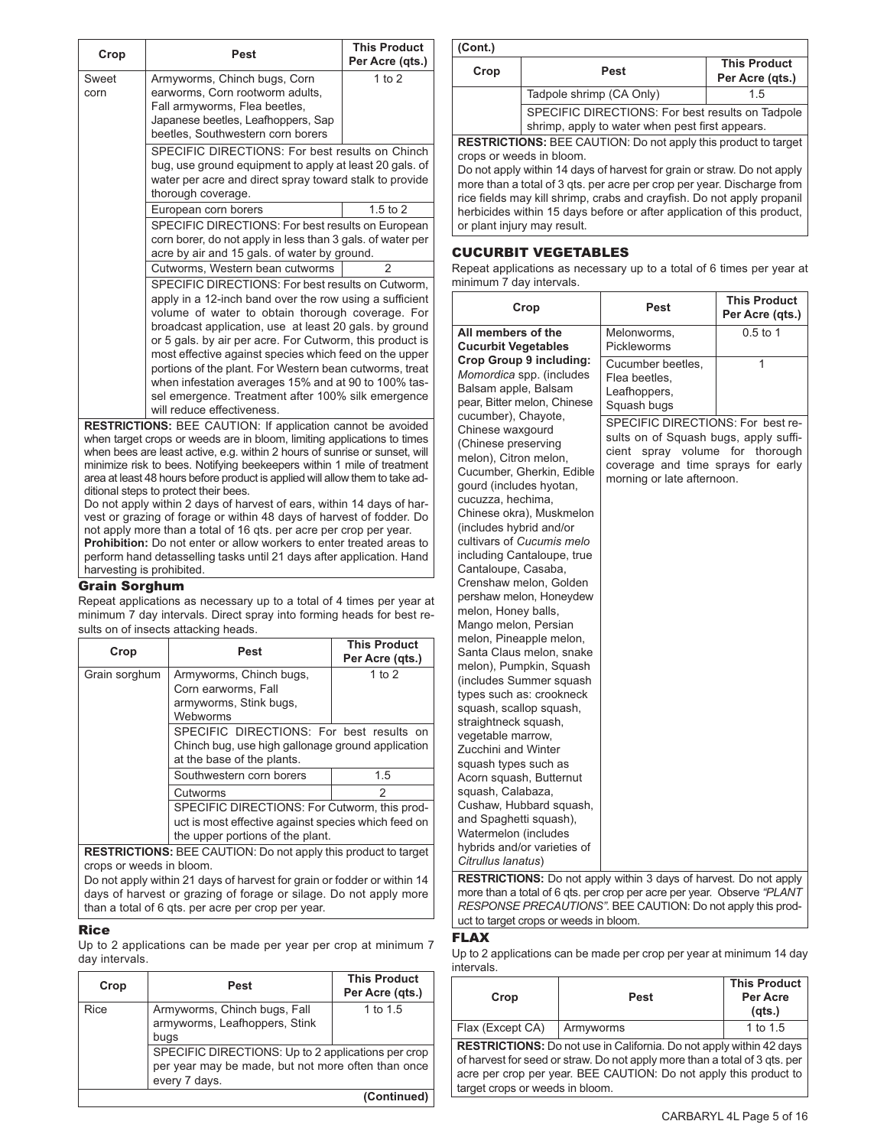| Crop          | Pest                                                                                                                                                                                                                                                                                                                                                                                                                                                                                                                                                    | <b>This Product</b><br>Per Acre (qts.) |
|---------------|---------------------------------------------------------------------------------------------------------------------------------------------------------------------------------------------------------------------------------------------------------------------------------------------------------------------------------------------------------------------------------------------------------------------------------------------------------------------------------------------------------------------------------------------------------|----------------------------------------|
| Sweet<br>corn | Armyworms, Chinch bugs, Corn<br>earworms, Corn rootworm adults,<br>Fall armyworms, Flea beetles,<br>Japanese beetles, Leafhoppers, Sap<br>beetles. Southwestern corn borers                                                                                                                                                                                                                                                                                                                                                                             | 1 to $2$                               |
|               | SPECIFIC DIRECTIONS: For best results on Chinch<br>bug, use ground equipment to apply at least 20 gals. of<br>water per acre and direct spray toward stalk to provide<br>thorough coverage.                                                                                                                                                                                                                                                                                                                                                             |                                        |
|               | European corn borers                                                                                                                                                                                                                                                                                                                                                                                                                                                                                                                                    | $1.5$ to $2$                           |
|               | SPECIFIC DIRECTIONS: For best results on European<br>corn borer, do not apply in less than 3 gals. of water per<br>acre by air and 15 gals. of water by ground.                                                                                                                                                                                                                                                                                                                                                                                         |                                        |
|               | Cutworms, Western bean cutworms                                                                                                                                                                                                                                                                                                                                                                                                                                                                                                                         | $\mathcal{P}$                          |
|               | SPECIFIC DIRECTIONS: For best results on Cutworm,<br>apply in a 12-inch band over the row using a sufficient<br>volume of water to obtain thorough coverage. For<br>broadcast application, use at least 20 gals, by ground<br>or 5 gals. by air per acre. For Cutworm, this product is<br>most effective against species which feed on the upper<br>portions of the plant. For Western bean cutworms, treat<br>when infestation averages 15% and at 90 to 100% tas-<br>sel emergence. Treatment after 100% silk emergence<br>will reduce effectiveness. |                                        |
|               | <b>RESTRICTIONS:</b> BEE CAUTION: If application cannot be avoided<br>when target crops or weeds are in bloom, limiting applications to times<br>when bees are least active, e.g. within 2 hours of sunrise or sunset, will<br>minimize risk to bees. Notifying beekeepers within 1 mile of treatment                                                                                                                                                                                                                                                   |                                        |

area at least 48 hours before product is applied will allow them to take additional steps to protect their bees. Do not apply within 2 days of harvest of ears, within 14 days of har-

vest or grazing of forage or within 48 days of harvest of fodder. Do not apply more than a total of 16 qts. per acre per crop per year. **Prohibition:** Do not enter or allow workers to enter treated areas to perform hand detasselling tasks until 21 days after application. Hand harvesting is prohibited.

#### Grain Sorghum

Repeat applications as necessary up to a total of 4 times per year at minimum 7 day intervals. Direct spray into forming heads for best results on of insects attacking heads.

| Crop          | Pest                                                                                                                        | <b>This Product</b><br>Per Acre (gts.) |
|---------------|-----------------------------------------------------------------------------------------------------------------------------|----------------------------------------|
| Grain sorghum | Armyworms, Chinch bugs,                                                                                                     | 1 to $2$                               |
|               | Corn earworms, Fall                                                                                                         |                                        |
|               | armyworms, Stink bugs,                                                                                                      |                                        |
|               | Webworms                                                                                                                    |                                        |
|               | SPECIFIC DIRECTIONS: For best results on<br>Chinch bug, use high gallonage ground application<br>at the base of the plants. |                                        |
|               | Southwestern corn borers                                                                                                    | 1.5                                    |
|               | Cutworms                                                                                                                    | 2                                      |
|               | SPECIFIC DIRECTIONS: For Cutworm, this prod-                                                                                |                                        |
|               | uct is most effective against species which feed on                                                                         |                                        |
|               | the upper portions of the plant.                                                                                            |                                        |
|               | <b>RESTRICTIONS:</b> BEE CAUTION: Do not apply this product to target                                                       |                                        |

crops or weeds in bloom.

Do not apply within 21 days of harvest for grain or fodder or within 14 days of harvest or grazing of forage or silage. Do not apply more than a total of 6 qts. per acre per crop per year.

#### **Rice**

Up to 2 applications can be made per year per crop at minimum 7 day intervals.

| Crop | Pest                                                                                                                      | <b>This Product</b><br>Per Acre (qts.) |
|------|---------------------------------------------------------------------------------------------------------------------------|----------------------------------------|
| Rice | Armyworms, Chinch bugs, Fall<br>armyworms, Leafhoppers, Stink<br>bugs                                                     | 1 to 1.5                               |
|      | SPECIFIC DIRECTIONS: Up to 2 applications per crop<br>per year may be made, but not more often than once<br>every 7 days. |                                        |
|      |                                                                                                                           | (Continued)                            |

**(Cont.) Crop** Pest **This Product Per Acre (qts.)** Tadpole shrimp (CA
Only) 1.5 SPECIFIC DIRECTIONS: For best results on Tadpole shrimp, apply to water when pest first appears. **RESTRICTIONS:** BEE CAUTION: Do not apply this product to target crops or weeds in bloom. Do not apply within 14 days of harvest for grain or straw. Do not apply

more than a total of 3 qts. per acre per crop per year. Discharge from rice fields may kill shrimp, crabs and crayfish. Do not apply propanil herbicides within 15 days before or after application of this product, or plant injury may result.

#### CUCURBIT VEGETABLES

Repeat applications as necessary up to a total of 6 times per year at minimum 7 day intervals.

| Crop                                                                                                                                                                                                                                                                                                                                                                                                                                                                                                                                                                                                                                                                                                       | Pest                                                                                                                                                                                                                                            | <b>This Product</b><br>Per Acre (gts.) |
|------------------------------------------------------------------------------------------------------------------------------------------------------------------------------------------------------------------------------------------------------------------------------------------------------------------------------------------------------------------------------------------------------------------------------------------------------------------------------------------------------------------------------------------------------------------------------------------------------------------------------------------------------------------------------------------------------------|-------------------------------------------------------------------------------------------------------------------------------------------------------------------------------------------------------------------------------------------------|----------------------------------------|
| All members of the<br><b>Cucurbit Vegetables</b>                                                                                                                                                                                                                                                                                                                                                                                                                                                                                                                                                                                                                                                           | Melonworms,<br>Pickleworms                                                                                                                                                                                                                      | $0.5$ to 1                             |
| <b>Crop Group 9 including:</b><br>Momordica spp. (includes<br>Balsam apple, Balsam<br>pear, Bitter melon, Chinese<br>cucumber), Chayote,<br>Chinese waxgourd<br>(Chinese preserving<br>melon), Citron melon,<br>Cucumber, Gherkin, Edible<br>gourd (includes hyotan,<br>cucuzza, hechima,<br>Chinese okra), Muskmelon<br>(includes hybrid and/or<br>cultivars of Cucumis melo<br>including Cantaloupe, true<br>Cantaloupe, Casaba,<br>Crenshaw melon, Golden<br>pershaw melon, Honeydew<br>melon, Honey balls,<br>Mango melon, Persian<br>melon, Pineapple melon,<br>Santa Claus melon, snake<br>melon), Pumpkin, Squash<br>(includes Summer squash<br>types such as: crookneck<br>squash, scallop squash, | Cucumber beetles,<br>Flea beetles,<br>Leafhoppers,<br>Squash bugs<br>SPECIFIC DIRECTIONS: For best re-<br>sults on of Squash bugs, apply suffi-<br>cient<br>volume<br>spray<br>coverage and time sprays for early<br>morning or late afternoon. | 1<br>for<br>thorough                   |
| straightneck squash,<br>vegetable marrow,<br>Zucchini and Winter<br>squash types such as                                                                                                                                                                                                                                                                                                                                                                                                                                                                                                                                                                                                                   |                                                                                                                                                                                                                                                 |                                        |
| Acorn squash, Butternut<br>squash, Calabaza,<br>Cushaw, Hubbard squash,<br>and Spaghetti squash),<br>Watermelon (includes<br>hybrids and/or varieties of<br>Citrullus lanatus)                                                                                                                                                                                                                                                                                                                                                                                                                                                                                                                             |                                                                                                                                                                                                                                                 |                                        |
| <b>RESTRICTIONS:</b> Do not apply within 3 days of harvest. Do not apply                                                                                                                                                                                                                                                                                                                                                                                                                                                                                                                                                                                                                                   |                                                                                                                                                                                                                                                 |                                        |

**RESTRICTIONS:** Do not apply within 3 days of harvest. Do not apply more than a total of 6 qts. per crop per acre per year. Observe *"PLANT RESPONSE PRECAUTIONS".* BEE CAUTION: Do not apply this product to target crops or weeds in bloom.

#### FLAX

Up to 2 applications can be made per crop per year at minimum 14 day intervals.

| Crop                                                                                                                                                                                                                                                             | Pest      | <b>This Product</b><br>Per Acre<br>(qts.) |
|------------------------------------------------------------------------------------------------------------------------------------------------------------------------------------------------------------------------------------------------------------------|-----------|-------------------------------------------|
| Flax (Except CA)                                                                                                                                                                                                                                                 | Armyworms | 1 to $1.5$                                |
| <b>RESTRICTIONS:</b> Do not use in California. Do not apply within 42 days<br>of harvest for seed or straw. Do not apply more than a total of 3 gts. per<br>acre per crop per year. BEE CAUTION: Do not apply this product to<br>target crops or weeds in bloom. |           |                                           |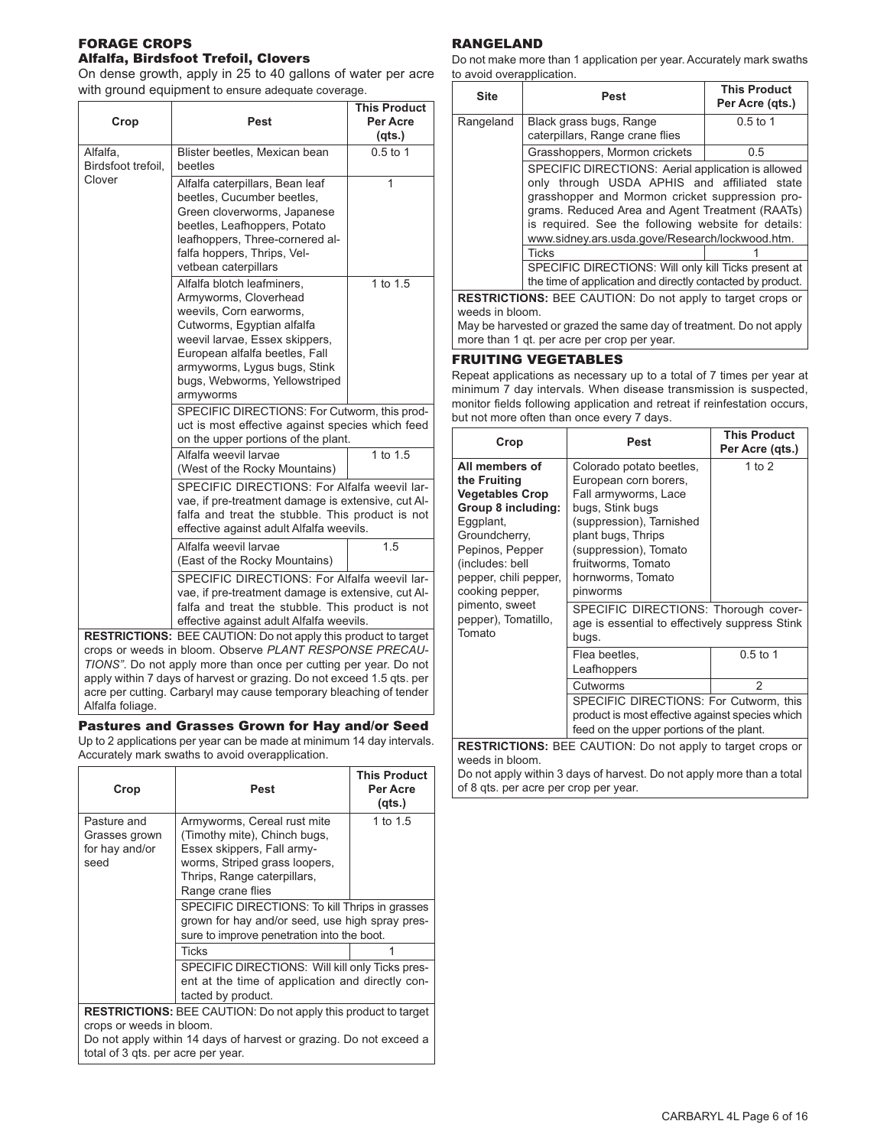#### FORAGE CROPS Alfalfa, Birdsfoot Trefoil, Clovers

On dense growth, apply in 25 to 40 gallons of water per acre with ground equipment to ensure adequate coverage.

|                                                                                                                                           |                                                                                                                                                                                                                                                                | <b>This Product</b> |
|-------------------------------------------------------------------------------------------------------------------------------------------|----------------------------------------------------------------------------------------------------------------------------------------------------------------------------------------------------------------------------------------------------------------|---------------------|
| Crop                                                                                                                                      | Pest                                                                                                                                                                                                                                                           | Per Acre            |
|                                                                                                                                           |                                                                                                                                                                                                                                                                | (qts.)              |
| Alfalfa,<br>Birdsfoot trefoil,                                                                                                            | Blister beetles, Mexican bean<br>beetles                                                                                                                                                                                                                       | $0.5$ to 1          |
| Clover                                                                                                                                    | Alfalfa caterpillars, Bean leaf<br>beetles, Cucumber beetles,<br>Green cloverworms, Japanese<br>beetles, Leafhoppers, Potato<br>leafhoppers, Three-cornered al-<br>falfa hoppers, Thrips, Vel-<br>vetbean caterpillars                                         | 1                   |
|                                                                                                                                           | Alfalfa blotch leafminers,<br>Armyworms, Cloverhead<br>weevils, Corn earworms,<br>Cutworms, Egyptian alfalfa<br>weevil larvae, Essex skippers,<br>European alfalfa beetles, Fall<br>armyworms, Lygus bugs, Stink<br>bugs, Webworms, Yellowstriped<br>armyworms | 1 to 1.5            |
|                                                                                                                                           | SPECIFIC DIRECTIONS: For Cutworm, this prod-<br>uct is most effective against species which feed<br>on the upper portions of the plant.                                                                                                                        |                     |
|                                                                                                                                           | Alfalfa weevil larvae<br>(West of the Rocky Mountains)                                                                                                                                                                                                         | 1 to 1.5            |
|                                                                                                                                           | SPECIFIC DIRECTIONS: For Alfalfa weevil lar-<br>vae, if pre-treatment damage is extensive, cut Al-<br>falfa and treat the stubble. This product is not<br>effective against adult Alfalfa weevils.                                                             |                     |
|                                                                                                                                           | Alfalfa weevil larvae<br>(East of the Rocky Mountains)                                                                                                                                                                                                         | 1.5                 |
|                                                                                                                                           | SPECIFIC DIRECTIONS: For Alfalfa weevil lar-<br>vae, if pre-treatment damage is extensive, cut Al-<br>falfa and treat the stubble. This product is not<br>effective against adult Alfalfa weevils.                                                             |                     |
| <b>RESTRICTIONS:</b> BEE CAUTION: Do not apply this product to target<br>crops or weeds in bloom. Observe PLANT RESPONSE PRECAU-          |                                                                                                                                                                                                                                                                |                     |
| TIONS". Do not apply more than once per cutting per year. Do not<br>apply within 7 days of harvest or grazing. Do not exceed 1.5 gts. per |                                                                                                                                                                                                                                                                |                     |

Pastures and Grasses Grown for Hay and/or Seed acre per cutting. Carbaryl may cause temporary bleaching of tender Alfalfa foliage.

Up to 2 applications per year can be made at minimum 14 day intervals. Accurately mark swaths to avoid overapplication.

| Crop                                                                                                                                 | Pest                                                                                                                       | <b>This Product</b><br>Per Acre<br>(qts.) |
|--------------------------------------------------------------------------------------------------------------------------------------|----------------------------------------------------------------------------------------------------------------------------|-------------------------------------------|
| Pasture and<br>Grasses grown<br>for hay and/or<br>seed                                                                               | Armyworms, Cereal rust mite<br>(Timothy mite), Chinch bugs,<br>Essex skippers, Fall army-<br>worms, Striped grass loopers, | 1 to 1.5                                  |
|                                                                                                                                      | Thrips, Range caterpillars,<br>Range crane flies                                                                           |                                           |
|                                                                                                                                      | SPECIFIC DIRECTIONS: To kill Thrips in grasses                                                                             |                                           |
|                                                                                                                                      | grown for hay and/or seed, use high spray pres-<br>sure to improve penetration into the boot.                              |                                           |
|                                                                                                                                      | <b>Ticks</b>                                                                                                               |                                           |
|                                                                                                                                      | SPECIFIC DIRECTIONS: Will kill only Ticks pres-                                                                            |                                           |
|                                                                                                                                      | ent at the time of application and directly con-<br>tacted by product.                                                     |                                           |
| <b>RESTRICTIONS: BEE CAUTION: Do not apply this product to target</b>                                                                |                                                                                                                            |                                           |
| crops or weeds in bloom.<br>Do not apply within 14 days of harvest or grazing. Do not exceed a<br>total of 3 gts. per acre per year. |                                                                                                                            |                                           |

## RANGELAND

Do not make more than 1 application per year. Accurately mark swaths to avoid overapplication.

| <b>Site</b>                                                        | Pest                                                                                                                                                                                                                                                                                                                               | <b>This Product</b><br>Per Acre (gts.) |
|--------------------------------------------------------------------|------------------------------------------------------------------------------------------------------------------------------------------------------------------------------------------------------------------------------------------------------------------------------------------------------------------------------------|----------------------------------------|
| Rangeland                                                          | Black grass bugs, Range<br>caterpillars, Range crane flies                                                                                                                                                                                                                                                                         | $0.5$ to 1                             |
|                                                                    | Grasshoppers, Mormon crickets                                                                                                                                                                                                                                                                                                      | 0.5                                    |
|                                                                    | SPECIFIC DIRECTIONS: Aerial application is allowed<br>only through USDA APHIS and affiliated state<br>grasshopper and Mormon cricket suppression pro-<br>grams. Reduced Area and Agent Treatment (RAATs)<br>is required. See the following website for details:<br>www.sidney.ars.usda.gove/Research/lockwood.htm.<br><b>Ticks</b> |                                        |
|                                                                    | SPECIFIC DIRECTIONS: Will only kill Ticks present at                                                                                                                                                                                                                                                                               |                                        |
|                                                                    | the time of application and directly contacted by product.                                                                                                                                                                                                                                                                         |                                        |
| RESTRICTIONS: BEE CAUTION: Do not apply to target crops or         |                                                                                                                                                                                                                                                                                                                                    |                                        |
| weeds in bloom.                                                    |                                                                                                                                                                                                                                                                                                                                    |                                        |
| May be harvested or grazed the same day of treatment. Do not apply |                                                                                                                                                                                                                                                                                                                                    |                                        |
| more than 1 gt. per acre per crop per year.                        |                                                                                                                                                                                                                                                                                                                                    |                                        |

#### FRUITING VEGETABLES

Repeat applications as necessary up to a total of 7 times per year at minimum 7 day intervals. When disease transmission is suspected, monitor fields following application and retreat if reinfestation occurs, but not more often than once every 7 days.

| Crop                                                                                                                                                                                           | Pest                                                                                                                                                                                                                            | <b>This Product</b><br>Per Acre (qts.) |
|------------------------------------------------------------------------------------------------------------------------------------------------------------------------------------------------|---------------------------------------------------------------------------------------------------------------------------------------------------------------------------------------------------------------------------------|----------------------------------------|
| All members of<br>the Fruiting<br><b>Vegetables Crop</b><br>Group 8 including:<br>Eggplant,<br>Groundcherry,<br>Pepinos, Pepper<br>(includes: bell<br>pepper, chili pepper,<br>cooking pepper, | Colorado potato beetles,<br>European corn borers,<br>Fall armyworms, Lace<br>bugs, Stink bugs<br>(suppression), Tarnished<br>plant bugs, Thrips<br>(suppression), Tomato<br>fruitworms, Tomato<br>hornworms, Tomato<br>pinworms | 1 to 2                                 |
| pimento, sweet<br>pepper), Tomatillo,<br>Tomato                                                                                                                                                | SPECIFIC DIRECTIONS: Thorough cover-<br>age is essential to effectively suppress Stink<br>bugs.                                                                                                                                 |                                        |
|                                                                                                                                                                                                | Flea beetles,<br>Leafhoppers                                                                                                                                                                                                    | $0.5$ to 1                             |
|                                                                                                                                                                                                | Cutworms                                                                                                                                                                                                                        | $\mathcal{P}$                          |
|                                                                                                                                                                                                | SPECIFIC DIRECTIONS: For Cutworm, this<br>product is most effective against species which<br>feed on the upper portions of the plant.                                                                                           |                                        |
| <b>RESTRICTIONS:</b> BEE CAUTION: Do not apply to target crops or                                                                                                                              |                                                                                                                                                                                                                                 |                                        |
| weeds in bloom.                                                                                                                                                                                |                                                                                                                                                                                                                                 |                                        |

Do not apply within 3 days of harvest. Do not apply more than a total of 8 qts. per acre per crop per year.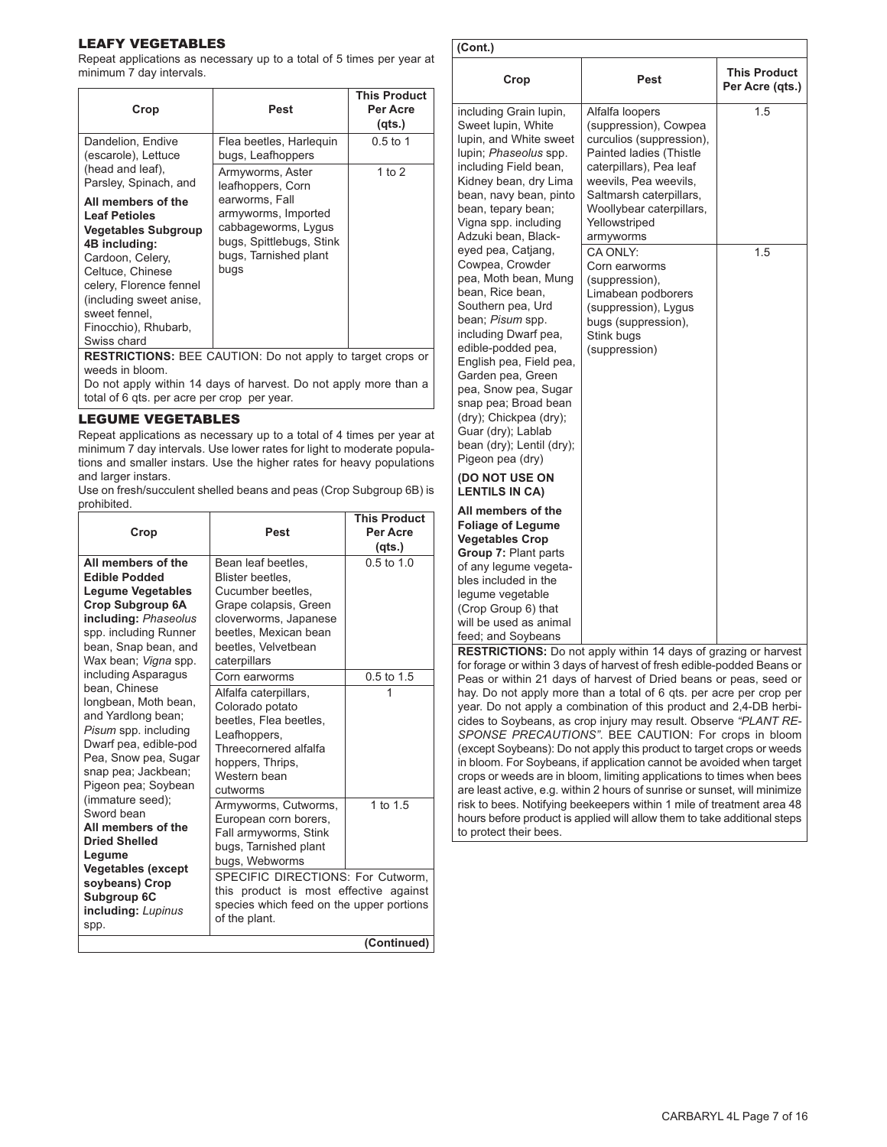#### LEAFY VEGETABLES

Repeat applications as necessary up to a total of 5 times per year at minimum 7 day intervals.

| Crop                                                                                                                                                                                                                                            | Pest                                                                                                                      | <b>This Product</b><br>Per Acre<br>(qts.) |
|-------------------------------------------------------------------------------------------------------------------------------------------------------------------------------------------------------------------------------------------------|---------------------------------------------------------------------------------------------------------------------------|-------------------------------------------|
| Dandelion, Endive<br>(escarole), Lettuce                                                                                                                                                                                                        | Flea beetles, Harlequin<br>bugs, Leafhoppers                                                                              | $0.5$ to 1                                |
| (head and leaf),<br>Parsley, Spinach, and                                                                                                                                                                                                       | Armyworms, Aster<br>leafhoppers, Corn                                                                                     | 1 to $2$                                  |
| All members of the<br><b>Leaf Petioles</b><br><b>Vegetables Subgroup</b><br>4B including:<br>Cardoon, Celery,<br>Celtuce, Chinese<br>celery, Florence fennel<br>(including sweet anise,<br>sweet fennel.<br>Finocchio), Rhubarb,<br>Swiss chard | earworms, Fall<br>armyworms, Imported<br>cabbageworms, Lygus<br>bugs, Spittlebugs, Stink<br>bugs, Tarnished plant<br>bugs |                                           |
| RESTRICTIONS: BEE CAUTION: Do not apply to target crops or                                                                                                                                                                                      |                                                                                                                           |                                           |

weeds in bloom.

Do not apply within 14 days of harvest. Do not apply more than a total of 6 qts. per acre per crop per year.

#### LEGUME VEGETABLES

Repeat applications as necessary up to a total of 4 times per year at minimum 7 day intervals. Use lower rates for light to moderate populations and smaller instars. Use the higher rates for heavy populations and larger instars.

Use on fresh/succulent shelled beans and peas (Crop Subgroup 6B) is prohibited.

| Crop                                                                                                                                                                                                                                                                                                                                                                                            | Pest                                                                                                                                                                          | <b>This Product</b><br>Per Acre<br>(qts.) |
|-------------------------------------------------------------------------------------------------------------------------------------------------------------------------------------------------------------------------------------------------------------------------------------------------------------------------------------------------------------------------------------------------|-------------------------------------------------------------------------------------------------------------------------------------------------------------------------------|-------------------------------------------|
| All members of the<br><b>Edible Podded</b><br><b>Legume Vegetables</b><br><b>Crop Subgroup 6A</b><br>including: Phaseolus<br>spp. including Runner<br>bean, Snap bean, and<br>Wax bean; Vigna spp.                                                                                                                                                                                              | Bean leaf beetles.<br>Blister beetles.<br>Cucumber beetles.<br>Grape colapsis, Green<br>cloverworms, Japanese<br>beetles, Mexican bean<br>beetles, Velvetbean<br>caterpillars | $0.5 \text{ to } 1.0$                     |
| including Asparagus<br>bean. Chinese<br>longbean, Moth bean,<br>and Yardlong bean;<br>Pisum spp. including<br>Dwarf pea, edible-pod<br>Pea, Snow pea, Sugar<br>snap pea; Jackbean;<br>Pigeon pea; Soybean<br>(immature seed);<br>Sword bean<br>All members of the<br><b>Dried Shelled</b><br>Legume<br><b>Vegetables (except</b><br>soybeans) Crop<br>Subgroup 6C<br>including: Lupinus<br>spp. | Corn earworms<br>Alfalfa caterpillars,<br>Colorado potato<br>beetles, Flea beetles,<br>Leafhoppers,                                                                           | $0.5$ to $1.5$                            |
|                                                                                                                                                                                                                                                                                                                                                                                                 | Threecornered alfalfa<br>hoppers, Thrips,<br>Western bean<br>cutworms<br>Armyworms, Cutworms,                                                                                 | 1 to $1.5$                                |
|                                                                                                                                                                                                                                                                                                                                                                                                 | European corn borers,<br>Fall armyworms, Stink<br>bugs, Tarnished plant<br>bugs, Webworms                                                                                     |                                           |
|                                                                                                                                                                                                                                                                                                                                                                                                 | SPECIFIC DIRECTIONS: For Cutworm,<br>this product is most effective against<br>species which feed on the upper portions<br>of the plant.                                      |                                           |
|                                                                                                                                                                                                                                                                                                                                                                                                 |                                                                                                                                                                               | (Continued)                               |

**(Cont.) Crop** Pest **This Product Per Acre (qts.)** including Grain lupin, Sweet lupin, White lupin, and White sweet lupin; *Phaseolus* spp. including Field bean, Kidney bean, dry Lima bean, navy bean, pinto bean, tepary bean; Vigna spp. including Adzuki bean, Blackeyed pea, Catjang, Cowpea, Crowder pea, Moth bean, Mung bean, Rice bean, Southern pea, Urd bean; *Pisum* spp. including Dwarf pea, edible-podded pea, English pea, Field pea, Garden pea, Green pea, Snow pea, Sugar snap pea; Broad bean (dry); Chickpea (dry); Guar (dry); Lablab bean (dry); Lentil (dry); Pigeon pea (dry) **(DO NOT USE ON LENTILS IN CA) All members of the Foliage of Legume Vegetables Crop Group 7:** Plant parts of any legume vegetables included in the legume vegetable (Crop Group 6) that will be used as animal feed; and Soybeans Alfalfa loopers (suppression), Cowpea curculios (suppression), Painted ladies (Thistle caterpillars), Pea leaf weevils, Pea weevils, Saltmarsh caterpillars, Woollybear caterpillars, Yellowstriped armyworms 1.5 CA ONLY: Corn earworms (suppression), Limabean podborers (suppression), Lygus bugs (suppression), Stink bugs (suppression) 1.5 **RESTRICTIONS:** Do not apply within 14 days of grazing or harvest for forage or within 3 days of harvest of fresh edible-podded Beans or Peas or within 21 days of harvest of Dried beans or peas, seed or hay. Do not apply more than a total of 6 qts. per acre per crop per year. Do not apply a combination of this product and 2,4-DB herbicides to Soybeans, as crop injury may result. Observe *"PLANT RE-SPONSE PRECAUTIONS"*. BEE CAUTION: For crops in bloom (except Soybeans): Do not apply this product to target crops or weeds

in bloom. For Soybeans, if application cannot be avoided when target crops or weeds are in bloom, limiting applications to times when bees are least active, e.g. within 2 hours of sunrise or sunset, will minimize risk to bees. Notifying beekeepers within 1 mile of treatment area 48 hours before product is applied will allow them to take additional steps

to protect their bees.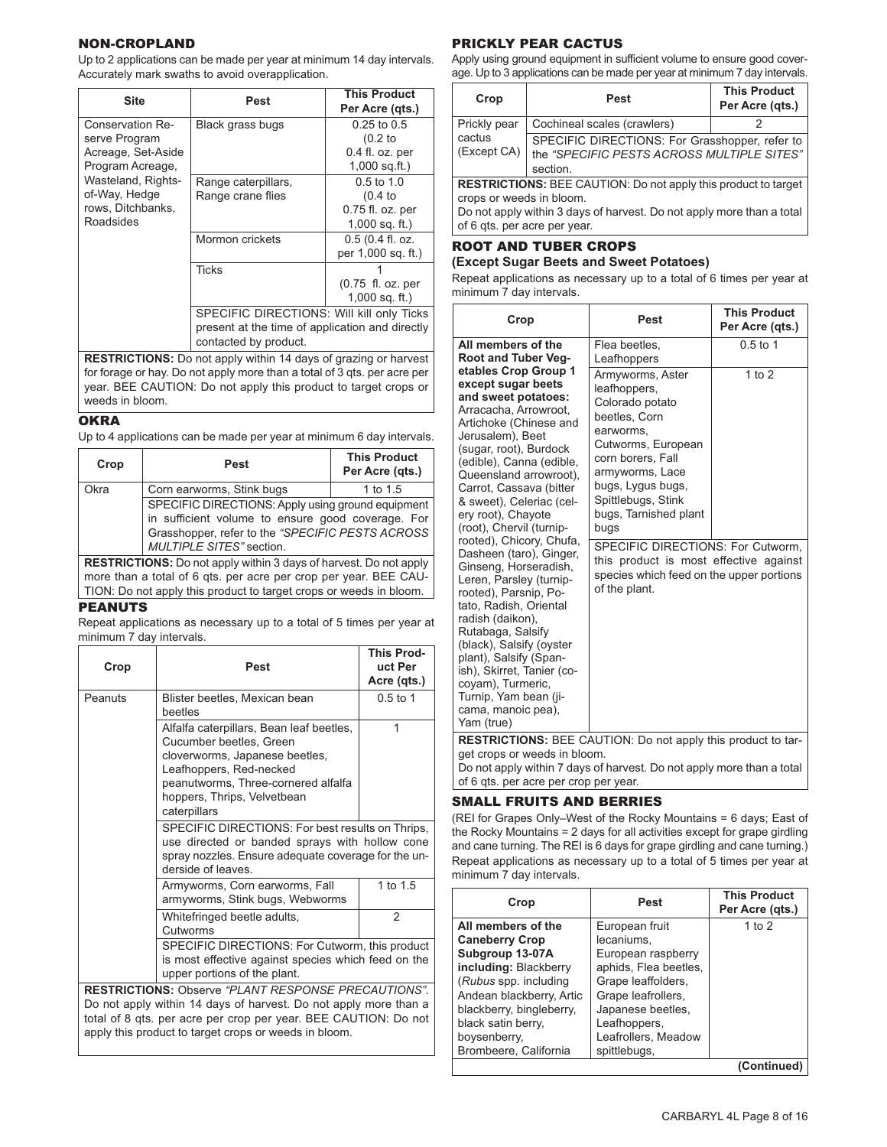#### NON-CROPLAND

Up to 2 applications can be made per year at minimum 14 day intervals. Accurately mark swaths to avoid overapplication.

| Site               | Pest                                            | <b>This Product</b><br>Per Acre (qts.) |
|--------------------|-------------------------------------------------|----------------------------------------|
| Conservation Re-   | Black grass bugs                                | $0.25$ to $0.5$                        |
| serve Program      |                                                 | (0.2 <sub>to</sub> )                   |
| Acreage, Set-Aside |                                                 | $0.4$ fl. oz. per                      |
| Program Acreage,   |                                                 | $1,000$ sq.ft.)                        |
| Wasteland, Rights- | Range caterpillars,                             | $0.5 \text{ to } 1.0$                  |
| of-Way, Hedge      | Range crane flies                               | $(0.4)$ to                             |
| rows, Ditchbanks,  |                                                 | 0.75 fl. oz. per                       |
| Roadsides          |                                                 | $1,000$ sq. ft.)                       |
|                    | Mormon crickets                                 | $0.5$ (0.4 fl. oz.                     |
|                    |                                                 | per 1,000 sq. ft.)                     |
|                    | <b>Ticks</b>                                    |                                        |
|                    |                                                 | (0.75 fl. oz. per                      |
|                    |                                                 | $1,000$ sq. ft.)                       |
|                    | SPECIFIC DIRECTIONS: Will kill only Ticks       |                                        |
|                    | present at the time of application and directly |                                        |
|                    | contacted by product.                           |                                        |

**RESTRICTIONS:** Do not apply within 14 days of grazing or harvest for forage or hay. Do not apply more than a total of 3 qts. per acre per year. BEE CAUTION: Do not apply this product to target crops or weeds in bloom.

#### **OKRA**

Up to 4 applications can be made per year at minimum 6 day intervals.

| Crop | Pest                                                                     | <b>This Product</b><br>Per Acre (qts.) |
|------|--------------------------------------------------------------------------|----------------------------------------|
| Okra | Corn earworms, Stink bugs                                                | 1 to 1.5                               |
|      | SPECIFIC DIRECTIONS: Apply using ground equipment                        |                                        |
|      | in sufficient volume to ensure good coverage. For                        |                                        |
|      | Grasshopper, refer to the "SPECIFIC PESTS ACROSS                         |                                        |
|      | MULTIPLE SITES" section.                                                 |                                        |
|      | <b>RESTRICTIONS:</b> Do not apply within 3 days of harvest. Do not apply |                                        |
|      |                                                                          |                                        |

more than a total of 6 qts. per acre per crop per year. BEE CAU-TION: Do not apply this product to target crops or weeds in bloom.

#### PEANUTS

Repeat applications as necessary up to a total of 5 times per year at minimum 7 day intervals.

|         |                                                                                     | <b>This Prod-</b> |
|---------|-------------------------------------------------------------------------------------|-------------------|
| Crop    | Pest                                                                                | uct Per           |
|         |                                                                                     | Acre (qts.)       |
| Peanuts | Blister beetles, Mexican bean<br>beetles                                            | $0.5$ to 1        |
|         | Alfalfa caterpillars, Bean leaf beetles,<br>Cucumber beetles, Green                 | 1                 |
|         | cloverworms, Japanese beetles,<br>Leafhoppers, Red-necked                           |                   |
|         | peanutworms, Three-cornered alfalfa                                                 |                   |
|         | hoppers, Thrips, Velvetbean<br>caterpillars                                         |                   |
|         | SPECIFIC DIRECTIONS: For best results on Thrips,                                    |                   |
|         | use directed or banded sprays with hollow cone                                      |                   |
|         | spray nozzles. Ensure adequate coverage for the un-<br>derside of leaves.           |                   |
|         | Armyworms, Corn earworms, Fall<br>armyworms, Stink bugs, Webworms                   | 1 to 1.5          |
|         | Whitefringed beetle adults,<br>Cutworms                                             | $\mathfrak{p}$    |
|         | SPECIFIC DIRECTIONS: For Cutworm, this product                                      |                   |
|         | is most effective against species which feed on the<br>upper portions of the plant. |                   |
|         | <b>RESTRICTIONS:</b> Observe "PLANT RESPONSE PRECAUTIONS".                          |                   |
|         | Do not apply within 14 days of harvest. Do not apply more than a                    |                   |
|         | total of 8 gts. per acre per crop per year. BEE CAUTION: Do not                     |                   |
|         | apply this product to target crops or weeds in bloom.                               |                   |

#### PRICKLY PEAR CACTUS

Apply using ground equipment in sufficient volume to ensure good coverage. Up to 3 applications can be made per year at minimum 7 day intervals.

| Crop                                                                                                  | Pest                                                                                                     | <b>This Product</b><br>Per Acre (qts.) |
|-------------------------------------------------------------------------------------------------------|----------------------------------------------------------------------------------------------------------|----------------------------------------|
| Prickly pear                                                                                          | Cochineal scales (crawlers)                                                                              | 2                                      |
| cactus<br>(Except CA)                                                                                 | SPECIFIC DIRECTIONS: For Grasshopper, refer to<br>the "SPECIFIC PESTS ACROSS MULTIPLE SITES"<br>section. |                                        |
| <b>RESTRICTIONS: BEE CAUTION: Do not apply this product to target</b>                                 |                                                                                                          |                                        |
| crops or weeds in bloom.                                                                              |                                                                                                          |                                        |
| Do not apply within 3 days of harvest. Do not apply more than a total<br>of 6 gts. per acre per year. |                                                                                                          |                                        |

# ROOT AND TUBER CROPS

#### **(Except Sugar Beets and Sweet Potatoes)**

Repeat applications as necessary up to a total of 6 times per year at minimum 7 day intervals.

| Crop                                                                                                                                                                                                                                                                                                                                                                                                                                                                                                                                                                                                                                                                                                           | Pest                                                                                                                                                                                                                                                                                                                                                                    | <b>This Product</b><br>Per Acre (qts.) |
|----------------------------------------------------------------------------------------------------------------------------------------------------------------------------------------------------------------------------------------------------------------------------------------------------------------------------------------------------------------------------------------------------------------------------------------------------------------------------------------------------------------------------------------------------------------------------------------------------------------------------------------------------------------------------------------------------------------|-------------------------------------------------------------------------------------------------------------------------------------------------------------------------------------------------------------------------------------------------------------------------------------------------------------------------------------------------------------------------|----------------------------------------|
| All members of the<br><b>Root and Tuber Veg-</b>                                                                                                                                                                                                                                                                                                                                                                                                                                                                                                                                                                                                                                                               | Flea beetles,<br>Leafhoppers                                                                                                                                                                                                                                                                                                                                            | $0.5$ to 1                             |
| etables Crop Group 1<br>except sugar beets<br>and sweet potatoes:<br>Arracacha, Arrowroot,<br>Artichoke (Chinese and<br>Jerusalem), Beet<br>(sugar, root), Burdock<br>(edible), Canna (edible,<br>Queensland arrowroot),<br>Carrot, Cassava (bitter<br>& sweet), Celeriac (cel-<br>ery root), Chayote<br>(root), Chervil (turnip-<br>rooted), Chicory, Chufa,<br>Dasheen (taro), Ginger,<br>Ginseng, Horseradish,<br>Leren, Parsley (turnip-<br>rooted), Parsnip, Po-<br>tato, Radish, Oriental<br>radish (daikon),<br>Rutabaga, Salsify<br>(black), Salsify (oyster<br>plant), Salsify (Span-<br>ish), Skirret, Tanier (co-<br>coyam), Turmeric,<br>Turnip, Yam bean (ji-<br>cama, manoic pea),<br>Yam (true) | Armyworms, Aster<br>leafhoppers,<br>Colorado potato<br>beetles, Corn<br>earworms,<br>Cutworms, European<br>corn borers, Fall<br>armyworms, Lace<br>bugs, Lygus bugs,<br>Spittlebugs, Stink<br>bugs, Tarnished plant<br>bugs<br>SPECIFIC DIRECTIONS: For Cutworm.<br>this product is most effective against<br>species which feed on the upper portions<br>of the plant. | 1 to $2$                               |
| RESTRICTIONS: BEE CAUTION: Do not apply this product to tar-<br>get crops or weeds in bloom.                                                                                                                                                                                                                                                                                                                                                                                                                                                                                                                                                                                                                   |                                                                                                                                                                                                                                                                                                                                                                         |                                        |

Do not apply within 7 days of harvest. Do not apply more than a total of 6 qts. per acre per crop per year.

#### SMALL FRUITS AND BERRIES

(REI for Grapes Only–West of the Rocky Mountains = 6 days; East of the Rocky Mountains = 2 days for all activities except for grape girdling and cane turning. The REI is 6 days for grape girdling and cane turning.) Repeat applications as necessary up to a total of 5 times per year at minimum 7 day intervals.

| Crop                     | Pest                  | <b>This Product</b><br>Per Acre (qts.) |
|--------------------------|-----------------------|----------------------------------------|
| All members of the       | European fruit        | 1 to $2$                               |
| <b>Caneberry Crop</b>    | lecaniums,            |                                        |
| Subgroup 13-07A          | European raspberry    |                                        |
| including: Blackberry    | aphids, Flea beetles, |                                        |
| (Rubus spp. including    | Grape leaffolders,    |                                        |
| Andean blackberry, Artic | Grape leafrollers,    |                                        |
| blackberry, bingleberry, | Japanese beetles,     |                                        |
| black satin berry,       | Leafhoppers,          |                                        |
| boysenberry,             | Leafrollers, Meadow   |                                        |
| Brombeere, California    | spittlebugs,          |                                        |
|                          |                       | (Continued)                            |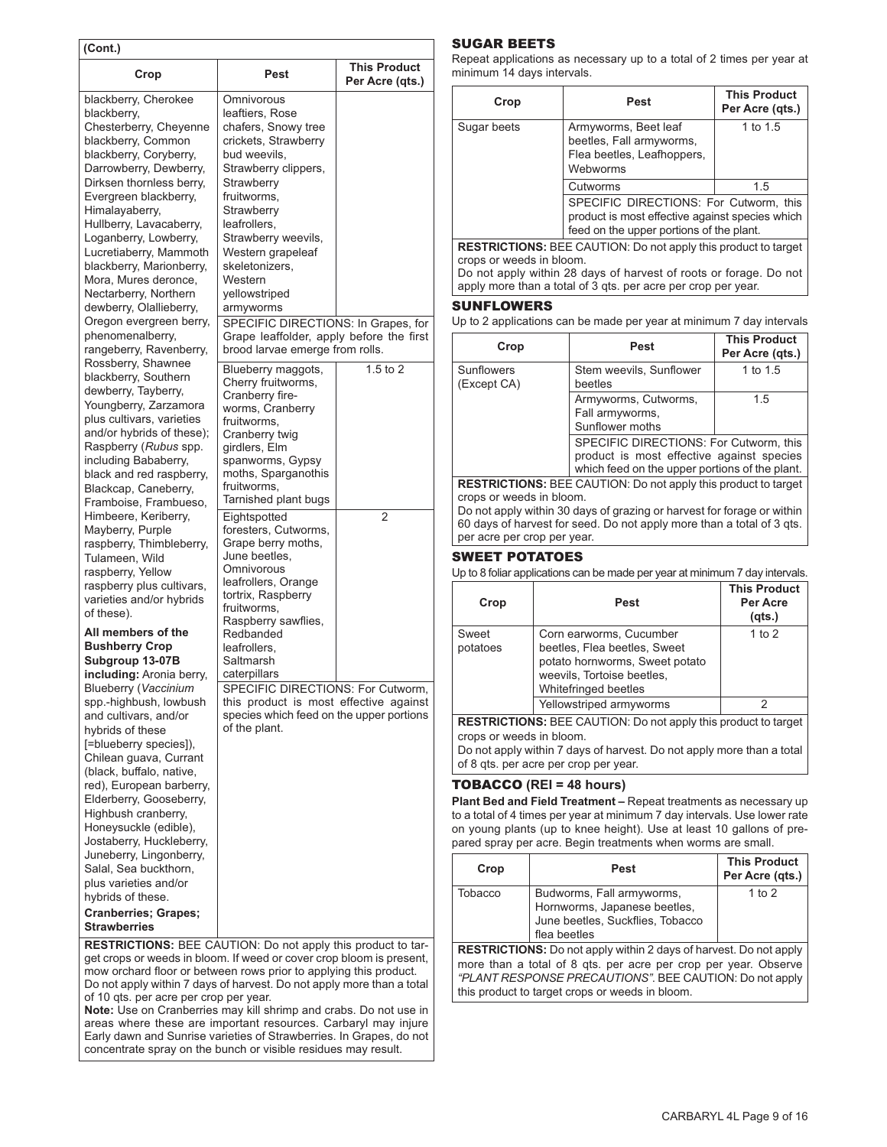| (Cont.)                                                                                                                                                                                                                                                                                                                                                                                                                                                                                                                                                                                                      |                                                                                                                                                                                                                                                                                                                                                                                                              |                                        |
|--------------------------------------------------------------------------------------------------------------------------------------------------------------------------------------------------------------------------------------------------------------------------------------------------------------------------------------------------------------------------------------------------------------------------------------------------------------------------------------------------------------------------------------------------------------------------------------------------------------|--------------------------------------------------------------------------------------------------------------------------------------------------------------------------------------------------------------------------------------------------------------------------------------------------------------------------------------------------------------------------------------------------------------|----------------------------------------|
| Crop                                                                                                                                                                                                                                                                                                                                                                                                                                                                                                                                                                                                         | Pest                                                                                                                                                                                                                                                                                                                                                                                                         | <b>This Product</b><br>Per Acre (qts.) |
| blackberry, Cherokee<br>blackberry,<br>Chesterberry, Cheyenne<br>blackberry, Common<br>blackberry, Coryberry,<br>Darrowberry, Dewberry,<br>Dirksen thornless berry.<br>Evergreen blackberry,<br>Himalayaberry,<br>Hullberry, Lavacaberry,<br>Loganberry, Lowberry,<br>Lucretiaberry, Mammoth<br>blackberry, Marionberry,<br>Mora, Mures deronce,<br>Nectarberry, Northern<br>dewberry, Olallieberry,<br>Oregon evergreen berry,<br>phenomenalberry,<br>rangeberry, Ravenberry,<br>Rossberry, Shawnee                                                                                                         | Omnivorous<br>leaftiers, Rose<br>chafers, Snowy tree<br>crickets, Strawberry<br>bud weevils,<br>Strawberry clippers,<br>Strawberry<br>fruitworms,<br>Strawberry<br>leafrollers.<br>Strawberry weevils,<br>Western grapeleaf<br>skeletonizers,<br>Western<br>yellowstriped<br>armyworms<br>SPECIFIC DIRECTIONS: In Grapes, for<br>Grape leaffolder, apply before the first<br>brood larvae emerge from rolls. |                                        |
| blackberry, Southern<br>dewberry, Tayberry,<br>Youngberry, Zarzamora<br>plus cultivars, varieties<br>and/or hybrids of these);<br>Raspberry (Rubus spp.<br>including Bababerry,<br>black and red raspberry,<br>Blackcap, Caneberry,<br>Framboise, Frambueso,                                                                                                                                                                                                                                                                                                                                                 | Blueberry maggots,<br>Cherry fruitworms,<br>Cranberry fire-<br>worms, Cranberry<br>fruitworms,<br>Cranberry twig<br>girdlers, Elm<br>spanworms, Gypsy<br>moths, Sparganothis<br>fruitworms,<br>Tarnished plant bugs                                                                                                                                                                                          | 1.5 to $2$                             |
| Himbeere, Keriberry,<br>Mayberry, Purple<br>raspberry, Thimbleberry,<br>Tulameen, Wild<br>raspberry, Yellow<br>raspberry plus cultivars,<br>varieties and/or hybrids<br>of these).<br>All members of the<br><b>Bushberry Crop</b><br>Subgroup 13-07B<br>including: Aronia berry,                                                                                                                                                                                                                                                                                                                             | Eightspotted<br>foresters, Cutworms,<br>Grape berry moths,<br>June beetles.<br>Omnivorous<br>leafrollers, Orange<br>tortrix, Raspberry<br>fruitworms.<br>Raspberry sawflies,<br>Redbanded<br>leafrollers,<br>Saltmarsh<br>caterpillars                                                                                                                                                                       | 2                                      |
| Blueberry (Vaccinium<br>spp.-highbush, lowbush<br>and cultivars, and/or<br>hybrids of these<br>[=blueberry species]),<br>Chilean guava, Currant<br>(black, buffalo, native,<br>red), European barberry,<br>Elderberry, Gooseberry,<br>Highbush cranberry,<br>Honeysuckle (edible),<br>Jostaberry, Huckleberry,<br>Juneberry, Lingonberry,<br>Salal, Sea buckthorn,<br>plus varieties and/or<br>hybrids of these.<br><b>Cranberries; Grapes;</b><br><b>Strawberries</b>                                                                                                                                       | <b>SPECIFIC DIRECTIONS: For Cutworm,</b><br>this product is most effective against<br>species which feed on the upper portions<br>of the plant.                                                                                                                                                                                                                                                              |                                        |
| RESTRICTIONS: BEE CAUTION: Do not apply this product to tar-<br>get crops or weeds in bloom. If weed or cover crop bloom is present,<br>mow orchard floor or between rows prior to applying this product.<br>Do not apply within 7 days of harvest. Do not apply more than a total<br>of 10 qts. per acre per crop per year.<br>Note: Use on Cranberries may kill shrimp and crabs. Do not use in<br>areas where these are important resources. Carbaryl may injure<br>Early dawn and Sunrise varieties of Strawberries. In Grapes, do not<br>concentrate spray on the bunch or visible residues may result. |                                                                                                                                                                                                                                                                                                                                                                                                              |                                        |

### SUGAR BEETS

Repeat applications as necessary up to a total of 2 times per year at minimum 14 days intervals.

| Crop                                                                                              | Pest                                                                                                                                  | <b>This Product</b><br>Per Acre (qts.) |
|---------------------------------------------------------------------------------------------------|---------------------------------------------------------------------------------------------------------------------------------------|----------------------------------------|
| Sugar beets                                                                                       | Armyworms, Beet leaf<br>beetles, Fall armyworms,<br>Flea beetles, Leafhoppers,<br>Webworms                                            | 1 to 1.5                               |
|                                                                                                   | Cutworms                                                                                                                              | 1.5                                    |
|                                                                                                   | SPECIFIC DIRECTIONS: For Cutworm, this<br>product is most effective against species which<br>feed on the upper portions of the plant. |                                        |
| <b>RESTRICTIONS:</b> BEE CAUTION: Do not apply this product to target<br>crops or weeds in bloom. |                                                                                                                                       |                                        |
| Do not apply within 28 days of harvest of roots or forage. Do not                                 |                                                                                                                                       |                                        |

apply more than a total of 3 qts. per acre per crop per year.

#### SUNFLOWERS

Up to 2 applications can be made per year at minimum 7 day intervals

| Crop                                                                  | Pest                                                                                                                                  | <b>This Product</b><br>Per Acre (qts.) |
|-----------------------------------------------------------------------|---------------------------------------------------------------------------------------------------------------------------------------|----------------------------------------|
| Sunflowers<br>(Except CA)                                             | Stem weevils, Sunflower<br>beetles                                                                                                    | 1 to 1.5                               |
|                                                                       | Armyworms, Cutworms,<br>Fall armyworms,<br>Sunflower moths                                                                            | 1.5                                    |
|                                                                       | SPECIFIC DIRECTIONS: For Cutworm, this<br>product is most effective against species<br>which feed on the upper portions of the plant. |                                        |
| <b>RESTRICTIONS:</b> BEE CAUTION: Do not apply this product to target |                                                                                                                                       |                                        |
| crops or weeds in bloom.                                              |                                                                                                                                       |                                        |

Do not apply within 30 days of grazing or harvest for forage or within 60 days of harvest for seed. Do not apply more than a total of 3 qts. per acre per crop per year.

#### SWEET POTATOES

Up to 8 foliar applications can be made per year at minimum 7 day intervals.

| Crop                                                           | Pest                           | <b>This Product</b><br>Per Acre<br>(qts.) |
|----------------------------------------------------------------|--------------------------------|-------------------------------------------|
| Sweet                                                          | Corn earworms, Cucumber        | 1 to $2$                                  |
| potatoes                                                       | beetles, Flea beetles, Sweet   |                                           |
|                                                                | potato hornworms, Sweet potato |                                           |
|                                                                | weevils, Tortoise beetles,     |                                           |
|                                                                | Whitefringed beetles           |                                           |
|                                                                | Yellowstriped armyworms        |                                           |
| RESTRICTIONS: BEE CAUTION: Do not apply this product to target |                                |                                           |

crops or weeds in bloom.

Do not apply within 7 days of harvest. Do not apply more than a total of 8 qts. per acre per crop per year.

#### TOBACCO **(REI = 48 hours)**

**Plant Bed and Field Treatment –** Repeat treatments as necessary up to a total of 4 times per year at minimum 7 day intervals. Use lower rate on young plants (up to knee height). Use at least 10 gallons of prepared spray per acre. Begin treatments when worms are small.

| Crop                                                                     | Pest                             | <b>This Product</b><br>Per Acre (qts.) |
|--------------------------------------------------------------------------|----------------------------------|----------------------------------------|
| Tobacco                                                                  | Budworms, Fall armyworms,        | 1 to $2$                               |
|                                                                          | Hornworms, Japanese beetles,     |                                        |
|                                                                          | June beetles, Suckflies, Tobacco |                                        |
|                                                                          | flea beetles                     |                                        |
| <b>RESTRICTIONS:</b> Do not apply within 2 days of harvest. Do not apply |                                  |                                        |
| more than a total of 8 qts. per acre per crop per year. Observe          |                                  |                                        |

*"PLANT RESPONSE PRECAUTIONS"*. BEE CAUTION: Do not apply this product to target crops or weeds in bloom.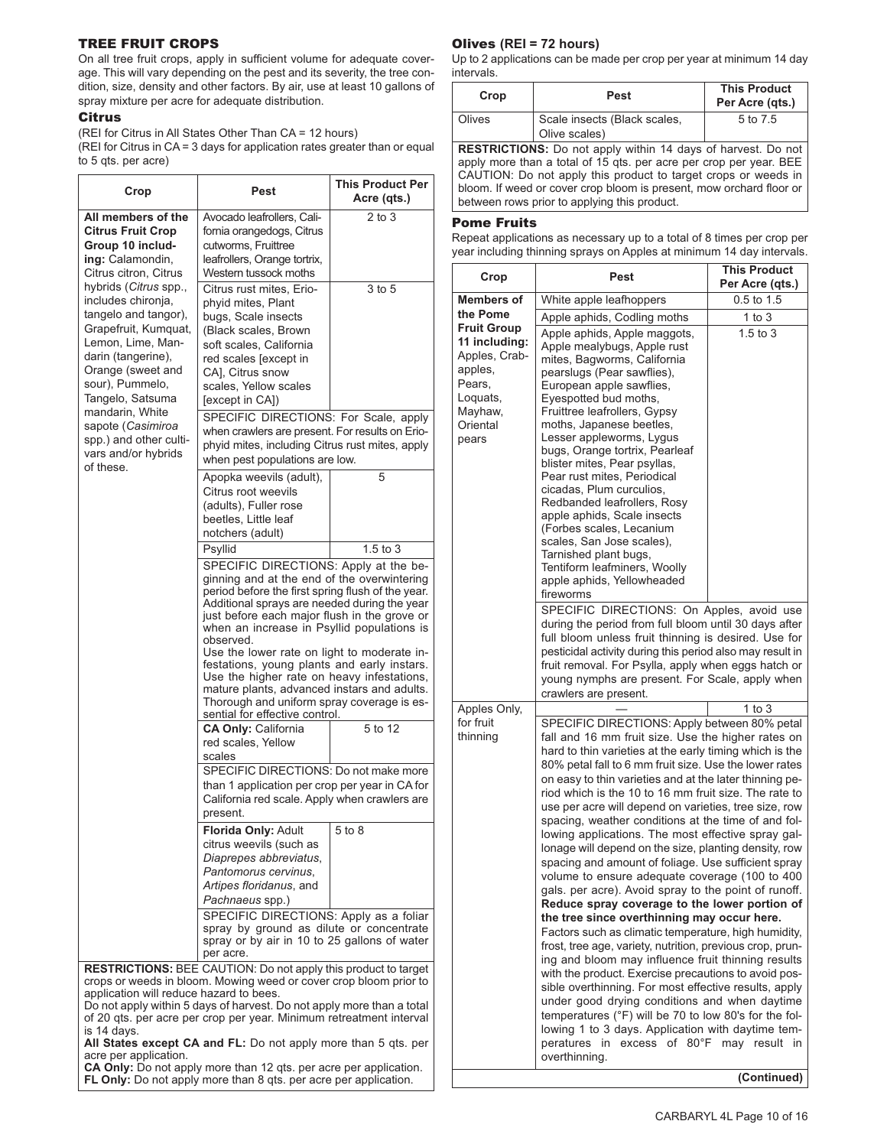#### TREE FRUIT CROPS

On all tree fruit crops, apply in sufficient volume for adequate coverage. This will vary depending on the pest and its severity, the tree condition, size, density and other factors. By air, use at least 10 gallons of spray mixture per acre for adequate distribution.

#### **Citrus**

(REI for Citrus in All States Other Than CA = 12 hours) (REI for Citrus in CA = 3 days for application rates greater than or equal to 5 qts. per acre)

| Crop                                                                                                                                                                                                                                                                 | Pest                                                                                                                                                                                                                                                                                                                                                                                                                                                                                                                                                                            | <b>This Product Per</b><br>Acre (qts.) |
|----------------------------------------------------------------------------------------------------------------------------------------------------------------------------------------------------------------------------------------------------------------------|---------------------------------------------------------------------------------------------------------------------------------------------------------------------------------------------------------------------------------------------------------------------------------------------------------------------------------------------------------------------------------------------------------------------------------------------------------------------------------------------------------------------------------------------------------------------------------|----------------------------------------|
| All members of the<br><b>Citrus Fruit Crop</b><br>Group 10 includ-<br>ing: Calamondin,<br>Citrus citron, Citrus                                                                                                                                                      | Avocado leafrollers, Cali-<br>fornia orangedogs, Citrus<br>cutworms, Fruittree<br>leafrollers, Orange tortrix,<br>Western tussock moths                                                                                                                                                                                                                                                                                                                                                                                                                                         | $2$ to $3$                             |
| hybrids (Citrus spp.,<br>includes chironja,<br>tangelo and tangor),<br>Grapefruit, Kumquat,<br>Lemon, Lime, Man-<br>darin (tangerine),<br>Orange (sweet and<br>sour), Pummelo,<br>Tangelo, Satsuma<br>mandarin, White<br>sapote (Casimiroa<br>spp.) and other culti- | Citrus rust mites, Erio-<br>phyid mites, Plant<br>bugs, Scale insects<br>(Black scales, Brown<br>soft scales, California<br>red scales [except in<br>CA], Citrus snow<br>scales, Yellow scales<br>[except in CA])<br>SPECIFIC DIRECTIONS: For Scale, apply<br>when crawlers are present. For results on Erio-<br>phyid mites, including Citrus rust mites, apply                                                                                                                                                                                                                | $3$ to $5$                             |
| vars and/or hybrids<br>of these.                                                                                                                                                                                                                                     | when pest populations are low.<br>Apopka weevils (adult),<br>Citrus root weevils                                                                                                                                                                                                                                                                                                                                                                                                                                                                                                | 5                                      |
|                                                                                                                                                                                                                                                                      | (adults), Fuller rose<br>beetles. Little leaf<br>notchers (adult)<br>Psyllid                                                                                                                                                                                                                                                                                                                                                                                                                                                                                                    | $1.5$ to $3$                           |
|                                                                                                                                                                                                                                                                      | SPECIFIC DIRECTIONS: Apply at the be-<br>ginning and at the end of the overwintering<br>period before the first spring flush of the year.<br>Additional sprays are needed during the year<br>just before each major flush in the grove or<br>when an increase in Psyllid populations is<br>observed.<br>Use the lower rate on light to moderate in-<br>festations, young plants and early instars.<br>Use the higher rate on heavy infestations,<br>mature plants, advanced instars and adults.<br>Thorough and uniform spray coverage is es-<br>sential for effective control. |                                        |
|                                                                                                                                                                                                                                                                      | <b>CA Only: California</b><br>red scales, Yellow<br>scales<br>SPECIFIC DIRECTIONS: Do not make more<br>than 1 application per crop per year in CA for<br>California red scale. Apply when crawlers are                                                                                                                                                                                                                                                                                                                                                                          | 5 to 12                                |
|                                                                                                                                                                                                                                                                      | present.<br>Florida Only: Adult<br>citrus weevils (such as<br>Diaprepes abbreviatus,<br>Pantomorus cervinus,<br>Artipes floridanus, and<br>Pachnaeus spp.)                                                                                                                                                                                                                                                                                                                                                                                                                      | $5$ to $8$                             |
|                                                                                                                                                                                                                                                                      | SPECIFIC DIRECTIONS: Apply as a foliar<br>spray by ground as dilute or concentrate<br>spray or by air in 10 to 25 gallons of water<br>per acre.                                                                                                                                                                                                                                                                                                                                                                                                                                 |                                        |
| application will reduce hazard to bees.<br>is 14 days.                                                                                                                                                                                                               | <b>RESTRICTIONS:</b> BEE CAUTION: Do not apply this product to target<br>crops or weeds in bloom. Mowing weed or cover crop bloom prior to<br>Do not apply within 5 days of harvest. Do not apply more than a total<br>of 20 qts. per acre per crop per year. Minimum retreatment interval<br>All States except CA and FL: Do not apply more than 5 gts. per                                                                                                                                                                                                                    |                                        |

**All States except CA and FL:** Do not apply more than 5 qts. per acre per application.

**CA Only:** Do not apply more than 12 qts. per acre per application. **FL Only:** Do not apply more than 8 qts. per acre per application.

#### Olives **(REI = 72 hours)**

Up to 2 applications can be made per crop per year at minimum 14 day intervals.

| Crop                                                                                                                                      | Pest                         | <b>This Product</b><br>Per Acre (qts.) |
|-------------------------------------------------------------------------------------------------------------------------------------------|------------------------------|----------------------------------------|
| Olives                                                                                                                                    | Scale insects (Black scales, | 5 to 7.5                               |
|                                                                                                                                           | Olive scales)                |                                        |
| <b>RESTRICTIONS:</b> Do not apply within 14 days of harvest. Do not<br>apply more than a total of 15 gts. per acre per crop per year. BEE |                              |                                        |
| CAUTION: Do not apply this product to target crops or weeds in                                                                            |                              |                                        |
| bloom. If weed or cover crop bloom is present, mow orchard floor or                                                                       |                              |                                        |
| between rows prior to applying this product.                                                                                              |                              |                                        |

#### Pome Fruits

Repeat applications as necessary up to a total of 8 times per crop per year including thinning sprays on Apples at minimum 14 day intervals.

| Crop                                                                                                                  | Pest                                                                                                                                                                                                                                                                                                                                                                                                                                                                                                                                                                                                                                                                                                                                                                                                                                                                                                                                                                                                                                                                                                                                                                                                                                                                                                                                                              | <b>This Product</b><br>Per Acre (qts.) |
|-----------------------------------------------------------------------------------------------------------------------|-------------------------------------------------------------------------------------------------------------------------------------------------------------------------------------------------------------------------------------------------------------------------------------------------------------------------------------------------------------------------------------------------------------------------------------------------------------------------------------------------------------------------------------------------------------------------------------------------------------------------------------------------------------------------------------------------------------------------------------------------------------------------------------------------------------------------------------------------------------------------------------------------------------------------------------------------------------------------------------------------------------------------------------------------------------------------------------------------------------------------------------------------------------------------------------------------------------------------------------------------------------------------------------------------------------------------------------------------------------------|----------------------------------------|
| Members of                                                                                                            | White apple leafhoppers                                                                                                                                                                                                                                                                                                                                                                                                                                                                                                                                                                                                                                                                                                                                                                                                                                                                                                                                                                                                                                                                                                                                                                                                                                                                                                                                           | $0.5$ to $1.5$                         |
| the Pome                                                                                                              | Apple aphids, Codling moths                                                                                                                                                                                                                                                                                                                                                                                                                                                                                                                                                                                                                                                                                                                                                                                                                                                                                                                                                                                                                                                                                                                                                                                                                                                                                                                                       | 1 to $3$                               |
| <b>Fruit Group</b><br>11 including:<br>Apples, Crab-<br>apples,<br>Pears,<br>Loquats,<br>Mayhaw,<br>Oriental<br>pears | Apple aphids, Apple maggots,<br>Apple mealybugs, Apple rust<br>mites, Bagworms, California<br>pearslugs (Pear sawflies),<br>European apple sawflies,<br>Eyespotted bud moths,<br>Fruittree leafrollers, Gypsy<br>moths, Japanese beetles,<br>Lesser appleworms, Lygus<br>bugs, Orange tortrix, Pearleaf<br>blister mites, Pear psyllas,<br>Pear rust mites, Periodical<br>cicadas, Plum curculios,<br>Redbanded leafrollers, Rosy<br>apple aphids, Scale insects<br>(Forbes scales, Lecanium<br>scales, San Jose scales),<br>Tarnished plant bugs,<br>Tentiform leafminers, Woolly<br>apple aphids, Yellowheaded                                                                                                                                                                                                                                                                                                                                                                                                                                                                                                                                                                                                                                                                                                                                                  | $1.5$ to $3$                           |
|                                                                                                                       | fireworms<br>SPECIFIC DIRECTIONS: On Apples, avoid use<br>during the period from full bloom until 30 days after<br>full bloom unless fruit thinning is desired. Use for<br>pesticidal activity during this period also may result in<br>fruit removal. For Psylla, apply when eggs hatch or<br>young nymphs are present. For Scale, apply when<br>crawlers are present.                                                                                                                                                                                                                                                                                                                                                                                                                                                                                                                                                                                                                                                                                                                                                                                                                                                                                                                                                                                           |                                        |
| Apples Only,                                                                                                          |                                                                                                                                                                                                                                                                                                                                                                                                                                                                                                                                                                                                                                                                                                                                                                                                                                                                                                                                                                                                                                                                                                                                                                                                                                                                                                                                                                   | 1 to 3                                 |
| for fruit<br>thinning                                                                                                 | SPECIFIC DIRECTIONS: Apply between 80% petal<br>fall and 16 mm fruit size. Use the higher rates on<br>hard to thin varieties at the early timing which is the<br>80% petal fall to 6 mm fruit size. Use the lower rates<br>on easy to thin varieties and at the later thinning pe-<br>riod which is the 10 to 16 mm fruit size. The rate to<br>use per acre will depend on varieties, tree size, row<br>spacing, weather conditions at the time of and fol-<br>lowing applications. The most effective spray gal-<br>lonage will depend on the size, planting density, row<br>spacing and amount of foliage. Use sufficient spray<br>volume to ensure adequate coverage (100 to 400<br>gals. per acre). Avoid spray to the point of runoff.<br>Reduce spray coverage to the lower portion of<br>the tree since overthinning may occur here.<br>Factors such as climatic temperature, high humidity,<br>frost, tree age, variety, nutrition, previous crop, prun-<br>ing and bloom may influence fruit thinning results<br>with the product. Exercise precautions to avoid pos-<br>sible overthinning. For most effective results, apply<br>under good drying conditions and when daytime<br>temperatures (°F) will be 70 to low 80's for the fol-<br>lowing 1 to 3 days. Application with daytime tem-<br>peratures in excess of 80°F may result<br>overthinning. | in                                     |
|                                                                                                                       |                                                                                                                                                                                                                                                                                                                                                                                                                                                                                                                                                                                                                                                                                                                                                                                                                                                                                                                                                                                                                                                                                                                                                                                                                                                                                                                                                                   | (Continued)                            |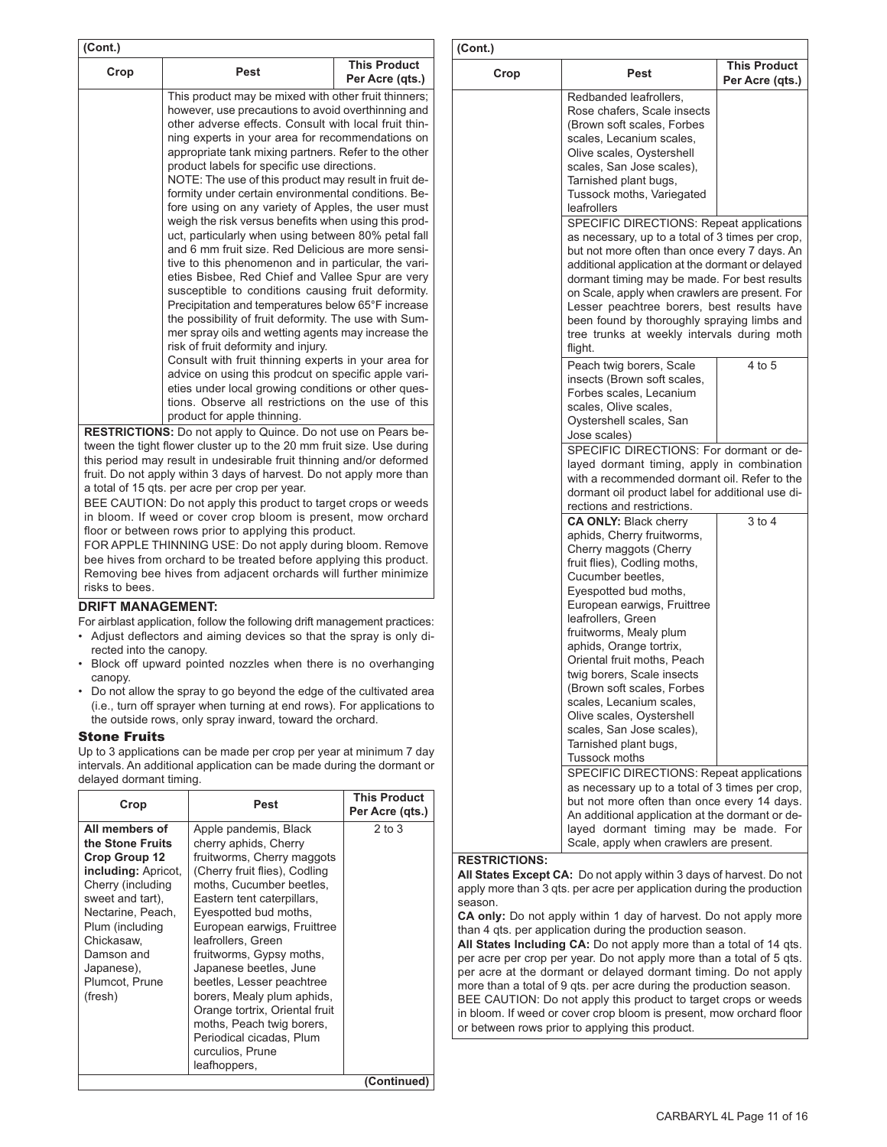| (Cont.)                                             |                                                                                                                                                                                                                                                                                                                                                                                                                                                                                                                                                                                                                                                                                                                                                                                                                                                                                                                                                                                                                                                                                                                                                                                                                                                                                                                     |                                        |
|-----------------------------------------------------|---------------------------------------------------------------------------------------------------------------------------------------------------------------------------------------------------------------------------------------------------------------------------------------------------------------------------------------------------------------------------------------------------------------------------------------------------------------------------------------------------------------------------------------------------------------------------------------------------------------------------------------------------------------------------------------------------------------------------------------------------------------------------------------------------------------------------------------------------------------------------------------------------------------------------------------------------------------------------------------------------------------------------------------------------------------------------------------------------------------------------------------------------------------------------------------------------------------------------------------------------------------------------------------------------------------------|----------------------------------------|
| Crop                                                | Pest                                                                                                                                                                                                                                                                                                                                                                                                                                                                                                                                                                                                                                                                                                                                                                                                                                                                                                                                                                                                                                                                                                                                                                                                                                                                                                                | <b>This Product</b><br>Per Acre (qts.) |
|                                                     | This product may be mixed with other fruit thinners;<br>however, use precautions to avoid overthinning and<br>other adverse effects. Consult with local fruit thin-<br>ning experts in your area for recommendations on<br>appropriate tank mixing partners. Refer to the other<br>product labels for specific use directions.<br>NOTE: The use of this product may result in fruit de-<br>formity under certain environmental conditions. Be-<br>fore using on any variety of Apples, the user must<br>weigh the risk versus benefits when using this prod-<br>uct, particularly when using between 80% petal fall<br>and 6 mm fruit size. Red Delicious are more sensi-<br>tive to this phenomenon and in particular, the vari-<br>eties Bisbee, Red Chief and Vallee Spur are very<br>susceptible to conditions causing fruit deformity.<br>Precipitation and temperatures below 65°F increase<br>the possibility of fruit deformity. The use with Sum-<br>mer spray oils and wetting agents may increase the<br>risk of fruit deformity and injury.<br>Consult with fruit thinning experts in your area for<br>advice on using this prodcut on specific apple vari-<br>eties under local growing conditions or other ques-<br>tions. Observe all restrictions on the use of this<br>product for apple thinning. |                                        |
| risks to bees.                                      | RESTRICTIONS: Do not apply to Quince. Do not use on Pears be-<br>tween the tight flower cluster up to the 20 mm fruit size. Use during<br>this period may result in undesirable fruit thinning and/or deformed<br>fruit. Do not apply within 3 days of harvest. Do not apply more than<br>a total of 15 gts. per acre per crop per year.<br>BEE CAUTION: Do not apply this product to target crops or weeds<br>in bloom. If weed or cover crop bloom is present, mow orchard<br>floor or between rows prior to applying this product.<br>FOR APPLE THINNING USE: Do not apply during bloom. Remove<br>bee hives from orchard to be treated before applying this product.<br>Removing bee hives from adjacent orchards will further minimize                                                                                                                                                                                                                                                                                                                                                                                                                                                                                                                                                                         |                                        |
| <b>DRIFT MANAGEMENT:</b><br>rected into the canopy. | For airblast application, follow the following drift management practices:<br>Adjust deflectors and aiming devices so that the spray is only di-<br>Block off upward pointed nozzles when there is no overhanging                                                                                                                                                                                                                                                                                                                                                                                                                                                                                                                                                                                                                                                                                                                                                                                                                                                                                                                                                                                                                                                                                                   |                                        |

- canopy.
- Do not allow the spray to go beyond the edge of the cultivated area (i.e., turn off sprayer when turning at end rows). For applications to the outside rows, only spray inward, toward the orchard.

#### Stone Fruits

Up to 3 applications can be made per crop per year at minimum 7 day intervals. An additional application can be made during the dormant or delayed dormant timing.

| Crop                                                                                                                                                                                                                                             | Pest                                                                                                                                                                                                                                                                                                                                                                                                                                                                                                  | <b>This Product</b><br>Per Acre (qts.) |
|--------------------------------------------------------------------------------------------------------------------------------------------------------------------------------------------------------------------------------------------------|-------------------------------------------------------------------------------------------------------------------------------------------------------------------------------------------------------------------------------------------------------------------------------------------------------------------------------------------------------------------------------------------------------------------------------------------------------------------------------------------------------|----------------------------------------|
| All members of<br>the Stone Fruits<br><b>Crop Group 12</b><br><b>including:</b> Apricot,<br>Cherry (including<br>sweet and tart).<br>Nectarine, Peach,<br>Plum (including<br>Chickasaw,<br>Damson and<br>Japanese),<br>Plumcot, Prune<br>(fresh) | Apple pandemis, Black<br>cherry aphids, Cherry<br>fruitworms, Cherry maggots<br>(Cherry fruit flies), Codling<br>moths, Cucumber beetles.<br>Eastern tent caterpillars,<br>Eyespotted bud moths,<br>European earwigs, Fruittree<br>leafrollers, Green<br>fruitworms, Gypsy moths,<br>Japanese beetles, June<br>beetles, Lesser peachtree<br>borers, Mealy plum aphids,<br>Orange tortrix, Oriental fruit<br>moths, Peach twig borers,<br>Periodical cicadas, Plum<br>curculios, Prune<br>leafhoppers, | $2$ to $3$                             |
|                                                                                                                                                                                                                                                  |                                                                                                                                                                                                                                                                                                                                                                                                                                                                                                       | (Continued)                            |

| (Cont.)              |                                                                       |                                        |
|----------------------|-----------------------------------------------------------------------|----------------------------------------|
| Crop                 | Pest                                                                  | <b>This Product</b><br>Per Acre (qts.) |
|                      | Redbanded leafrollers,                                                |                                        |
|                      | Rose chafers, Scale insects                                           |                                        |
|                      | (Brown soft scales, Forbes                                            |                                        |
|                      | scales, Lecanium scales,                                              |                                        |
|                      | Olive scales, Oystershell                                             |                                        |
|                      | scales, San Jose scales),                                             |                                        |
|                      | Tarnished plant bugs,                                                 |                                        |
|                      | Tussock moths, Variegated                                             |                                        |
|                      | leafrollers                                                           |                                        |
|                      | SPECIFIC DIRECTIONS: Repeat applications                              |                                        |
|                      | as necessary, up to a total of 3 times per crop,                      |                                        |
|                      | but not more often than once every 7 days. An                         |                                        |
|                      | additional application at the dormant or delayed                      |                                        |
|                      | dormant timing may be made. For best results                          |                                        |
|                      | on Scale, apply when crawlers are present. For                        |                                        |
|                      | Lesser peachtree borers, best results have                            |                                        |
|                      | been found by thoroughly spraying limbs and                           |                                        |
|                      | tree trunks at weekly intervals during moth                           |                                        |
|                      | flight.                                                               |                                        |
|                      | Peach twig borers, Scale                                              | 4 to 5                                 |
|                      | insects (Brown soft scales,                                           |                                        |
|                      | Forbes scales, Lecanium                                               |                                        |
|                      | scales, Olive scales,                                                 |                                        |
|                      | Oystershell scales, San                                               |                                        |
|                      | Jose scales)                                                          |                                        |
|                      | SPECIFIC DIRECTIONS: For dormant or de-                               |                                        |
|                      | layed dormant timing, apply in combination                            |                                        |
|                      | with a recommended dormant oil. Refer to the                          |                                        |
|                      | dormant oil product label for additional use di-                      |                                        |
|                      | rections and restrictions.                                            |                                        |
|                      | <b>CA ONLY: Black cherry</b>                                          | $3$ to $4$                             |
|                      | aphids, Cherry fruitworms,                                            |                                        |
|                      | Cherry maggots (Cherry                                                |                                        |
|                      | fruit flies), Codling moths,                                          |                                        |
|                      | Cucumber beetles,                                                     |                                        |
|                      | Eyespotted bud moths,                                                 |                                        |
|                      | European earwigs, Fruittree                                           |                                        |
|                      | leafrollers, Green<br>fruitworms, Mealy plum                          |                                        |
|                      | aphids, Orange tortrix,                                               |                                        |
|                      | Oriental fruit moths, Peach                                           |                                        |
|                      | twig borers, Scale insects                                            |                                        |
|                      | (Brown soft scales, Forbes                                            |                                        |
|                      | scales, Lecanium scales,                                              |                                        |
|                      | Olive scales, Oystershell                                             |                                        |
|                      | scales, San Jose scales),                                             |                                        |
|                      | Tarnished plant bugs,                                                 |                                        |
|                      | Tussock moths                                                         |                                        |
|                      | SPECIFIC DIRECTIONS: Repeat applications                              |                                        |
|                      | as necessary up to a total of 3 times per crop,                       |                                        |
|                      | but not more often than once every 14 days.                           |                                        |
|                      | An additional application at the dormant or de-                       |                                        |
|                      | layed dormant timing may be made. For                                 |                                        |
|                      | Scale, apply when crawlers are present.                               |                                        |
| <b>RESTRICTIONS:</b> |                                                                       |                                        |
|                      | All States Except CA: Do not apply within 3 days of harvest. Do not   |                                        |
|                      | apply more than 3 qts. per acre per application during the production |                                        |
| season.              |                                                                       |                                        |
|                      | CA only: Do not apply within 1 day of harvest. Do not apply more      |                                        |
|                      | than 4 qts. per application during the production season.             |                                        |
|                      | All States Including CA: Do not apply more than a total of 14 qts.    |                                        |
|                      | per acre per crop per year. Do not apply more than a total of 5 qts.  |                                        |
|                      | per acre at the dormant or delayed dormant timing. Do not apply       |                                        |

more than a total of 9 qts. per acre during the production season. BEE CAUTION: Do not apply this product to target crops or weeds

in bloom. If weed or cover crop bloom is present, mow orchard floor or between rows prior to applying this product.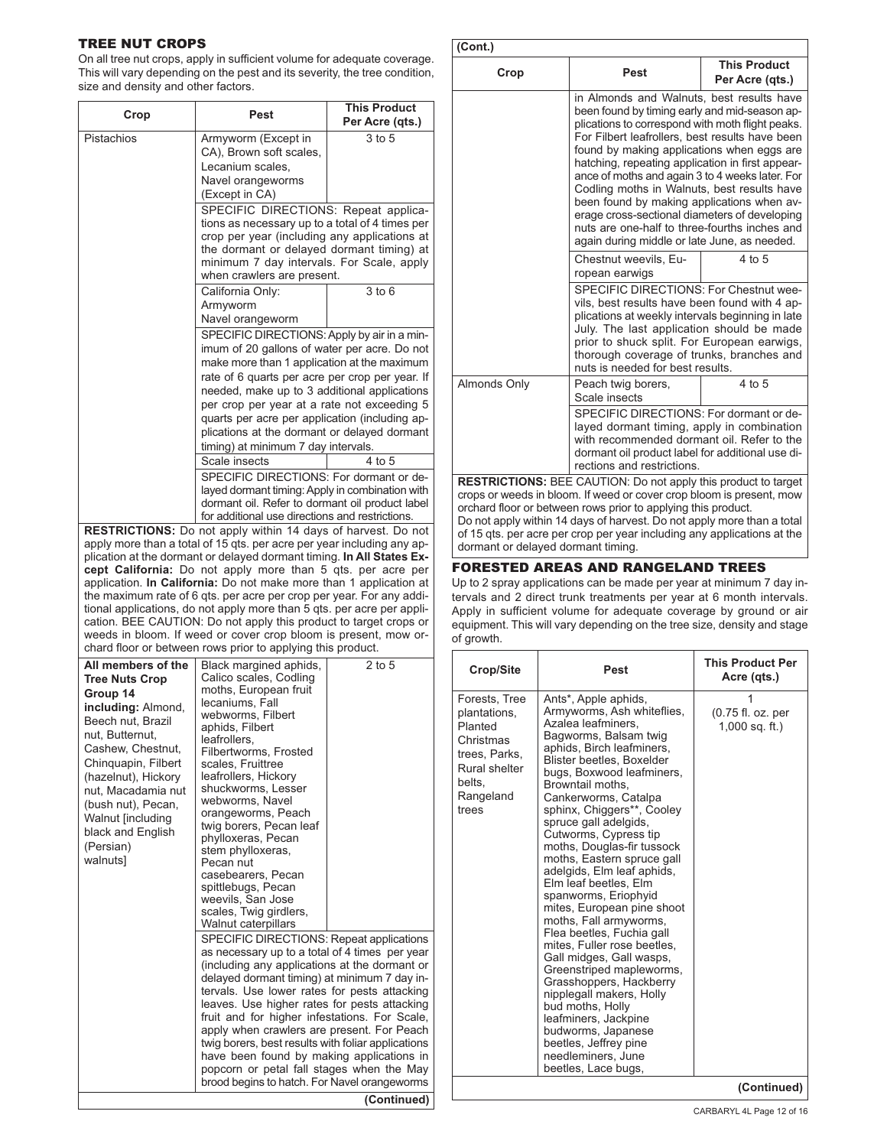#### TREE NUT CROPS

On all tree nut crops, apply in sufficient volume for adequate coverage. This will vary depending on the pest and its severity, the tree condition, size and density and other factors.

|            |                                                                                                                                                                                                                                                                                                                                                                                                                                       | <b>This Product</b> |
|------------|---------------------------------------------------------------------------------------------------------------------------------------------------------------------------------------------------------------------------------------------------------------------------------------------------------------------------------------------------------------------------------------------------------------------------------------|---------------------|
| Crop       | Pest                                                                                                                                                                                                                                                                                                                                                                                                                                  | Per Acre (qts.)     |
| Pistachios | Armyworm (Except in<br>CA), Brown soft scales,<br>Lecanium scales,<br>Navel orangeworms<br>(Except in CA)                                                                                                                                                                                                                                                                                                                             | $3$ to $5$          |
|            | SPECIFIC DIRECTIONS: Repeat applica-<br>tions as necessary up to a total of 4 times per<br>crop per year (including any applications at<br>the dormant or delayed dormant timing) at<br>minimum 7 day intervals. For Scale, apply<br>when crawlers are present.                                                                                                                                                                       |                     |
|            | California Only:<br>Armyworm<br>Navel orangeworm                                                                                                                                                                                                                                                                                                                                                                                      | $3$ to $6$          |
|            | SPECIFIC DIRECTIONS: Apply by air in a min-<br>imum of 20 gallons of water per acre. Do not<br>make more than 1 application at the maximum<br>rate of 6 quarts per acre per crop per year. If<br>needed, make up to 3 additional applications<br>per crop per year at a rate not exceeding 5<br>quarts per acre per application (including ap-<br>plications at the dormant or delayed dormant<br>timing) at minimum 7 day intervals. |                     |
|            | Scale insects                                                                                                                                                                                                                                                                                                                                                                                                                         | 4 to 5              |
|            | SPECIFIC DIRECTIONS: For dormant or de-<br>layed dormant timing: Apply in combination with<br>dormant oil. Refer to dormant oil product label<br>for additional use directions and restrictions.                                                                                                                                                                                                                                      |                     |

**RESTRICTIONS:** Do not apply within 14 days of harvest. Do not apply more than a total of 15 qts. per acre per year including any application at the dormant or delayed dormant timing. **In All States Except California:** Do not apply more than 5 qts. per acre per application. **In California:** Do not make more than 1 application at the maximum rate of 6 qts. per acre per crop per year. For any additional applications, do not apply more than 5 qts. per acre per application. BEE CAUTION: Do not apply this product to target crops or weeds in bloom. If weed or cover crop bloom is present, mow orchard floor or between rows prior to applying this product.

|                                                                                                                                                                                                                                                                                                         | $\mathcal{L}$ and the applying time prediction.                                                                                                                                                                                                                                                                                                                                                                                                                                                                                                                                            |             |
|---------------------------------------------------------------------------------------------------------------------------------------------------------------------------------------------------------------------------------------------------------------------------------------------------------|--------------------------------------------------------------------------------------------------------------------------------------------------------------------------------------------------------------------------------------------------------------------------------------------------------------------------------------------------------------------------------------------------------------------------------------------------------------------------------------------------------------------------------------------------------------------------------------------|-------------|
| All members of the<br><b>Tree Nuts Crop</b><br>Group 14<br>including: Almond,<br>Beech nut, Brazil<br>nut, Butternut,<br>Cashew, Chestnut,<br>Chinguapin, Filbert<br>(hazelnut), Hickory<br>nut, Macadamia nut<br>(bush nut), Pecan,<br>Walnut [including<br>black and English<br>(Persian)<br>walnuts] | Black margined aphids,<br>Calico scales, Codling<br>moths, European fruit<br>lecaniums, Fall<br>webworms, Filbert<br>aphids, Filbert<br>leafrollers.<br>Filbertworms, Frosted<br>scales, Fruittree<br>leafrollers, Hickory<br>shuckworms, Lesser<br>webworms, Navel<br>orangeworms, Peach<br>twig borers, Pecan leaf<br>phylloxeras, Pecan<br>stem phylloxeras,<br>Pecan nut<br>casebearers, Pecan<br>spittlebugs, Pecan<br>weevils, San Jose<br>scales, Twig girdlers,<br>Walnut caterpillars                                                                                             | $2$ to 5    |
|                                                                                                                                                                                                                                                                                                         | SPECIFIC DIRECTIONS: Repeat applications<br>as necessary up to a total of 4 times per year<br>(including any applications at the dormant or<br>delayed dormant timing) at minimum 7 day in-<br>tervals. Use lower rates for pests attacking<br>leaves. Use higher rates for pests attacking<br>fruit and for higher infestations. For Scale,<br>apply when crawlers are present. For Peach<br>twig borers, best results with foliar applications<br>have been found by making applications in<br>popcorn or petal fall stages when the May<br>brood begins to hatch. For Navel orangeworms |             |
|                                                                                                                                                                                                                                                                                                         |                                                                                                                                                                                                                                                                                                                                                                                                                                                                                                                                                                                            | (Continued) |

| (Cont.)                                                              |                                                                                                                                                                                                                                                                                                                                                                                                                                                                                                                                                                                                                                                                                                                                                                                                                                                                                                                                                                                        |                                        |
|----------------------------------------------------------------------|----------------------------------------------------------------------------------------------------------------------------------------------------------------------------------------------------------------------------------------------------------------------------------------------------------------------------------------------------------------------------------------------------------------------------------------------------------------------------------------------------------------------------------------------------------------------------------------------------------------------------------------------------------------------------------------------------------------------------------------------------------------------------------------------------------------------------------------------------------------------------------------------------------------------------------------------------------------------------------------|----------------------------------------|
| Crop                                                                 | Pest                                                                                                                                                                                                                                                                                                                                                                                                                                                                                                                                                                                                                                                                                                                                                                                                                                                                                                                                                                                   | <b>This Product</b><br>Per Acre (qts.) |
|                                                                      | in Almonds and Walnuts, best results have<br>been found by timing early and mid-season ap-<br>plications to correspond with moth flight peaks.<br>For Filbert leafrollers, best results have been<br>found by making applications when eggs are<br>hatching, repeating application in first appear-<br>ance of moths and again 3 to 4 weeks later. For<br>Codling moths in Walnuts, best results have<br>been found by making applications when av-<br>erage cross-sectional diameters of developing<br>nuts are one-half to three-fourths inches and<br>again during middle or late June, as needed.<br>Chestnut weevils, Eu-<br>4 to 5<br>ropean earwigs<br>SPECIFIC DIRECTIONS: For Chestnut wee-<br>vils, best results have been found with 4 ap-<br>plications at weekly intervals beginning in late<br>July. The last application should be made<br>prior to shuck split. For European earwigs,<br>thorough coverage of trunks, branches and<br>nuts is needed for best results. |                                        |
|                                                                      |                                                                                                                                                                                                                                                                                                                                                                                                                                                                                                                                                                                                                                                                                                                                                                                                                                                                                                                                                                                        |                                        |
|                                                                      |                                                                                                                                                                                                                                                                                                                                                                                                                                                                                                                                                                                                                                                                                                                                                                                                                                                                                                                                                                                        |                                        |
| Almonds Only                                                         | Peach twig borers,<br>Scale insects                                                                                                                                                                                                                                                                                                                                                                                                                                                                                                                                                                                                                                                                                                                                                                                                                                                                                                                                                    | $4$ to $5$                             |
| $D$ PCTDICTIONS. DEF. CALITION. De a et evaluation avec duct to text | SPECIFIC DIRECTIONS: For dormant or de-<br>layed dormant timing, apply in combination<br>with recommended dormant oil. Refer to the<br>dormant oil product label for additional use di-<br>rections and restrictions.                                                                                                                                                                                                                                                                                                                                                                                                                                                                                                                                                                                                                                                                                                                                                                  |                                        |

**RESTRICTIONS:** BEE CAUTION: Do not apply this product to target crops or weeds in bloom. If weed or cover crop bloom is present, mow orchard floor or between rows prior to applying this product. Do not apply within 14 days of harvest. Do not apply more than a total

of 15 qts. per acre per crop per year including any applications at the dormant or delayed dormant timing.

#### FORESTED AREAS AND RANGELAND TREES

Up to 2 spray applications can be made per year at minimum 7 day intervals and 2 direct trunk treatments per year at 6 month intervals. Apply in sufficient volume for adequate coverage by ground or air equipment. This will vary depending on the tree size, density and stage of growth.

| Crop/Site                                                                                                               | Pest                                                                                                                                                                                                                                                                                                                                                                                                                                                                                                                                                                                                                                                                                                                                                                                                                                       | <b>This Product Per</b><br>Acre (qts.) |
|-------------------------------------------------------------------------------------------------------------------------|--------------------------------------------------------------------------------------------------------------------------------------------------------------------------------------------------------------------------------------------------------------------------------------------------------------------------------------------------------------------------------------------------------------------------------------------------------------------------------------------------------------------------------------------------------------------------------------------------------------------------------------------------------------------------------------------------------------------------------------------------------------------------------------------------------------------------------------------|----------------------------------------|
| Forests, Tree<br>plantations,<br>Planted<br>Christmas<br>trees, Parks,<br>Rural shelter<br>belts.<br>Rangeland<br>trees | Ants*, Apple aphids,<br>Armyworms, Ash whiteflies,<br>Azalea leafminers.<br>Bagworms, Balsam twig<br>aphids, Birch leafminers,<br>Blister beetles, Boxelder<br>bugs, Boxwood leafminers,<br>Browntail moths.<br>Cankerworms, Catalpa<br>sphinx, Chiggers**, Cooley<br>spruce gall adelgids,<br>Cutworms, Cypress tip<br>moths, Douglas-fir tussock<br>moths, Eastern spruce gall<br>adelgids, Elm leaf aphids,<br>Elm leaf beetles, Elm<br>spanworms, Eriophyid<br>mites, European pine shoot<br>moths, Fall armyworms,<br>Flea beetles, Fuchia gall<br>mites. Fuller rose beetles.<br>Gall midges, Gall wasps,<br>Greenstriped mapleworms,<br>Grasshoppers, Hackberry<br>nipplegall makers, Holly<br>bud moths, Holly<br>leafminers, Jackpine<br>budworms, Japanese<br>beetles, Jeffrey pine<br>needleminers, June<br>beetles, Lace bugs, | (0.75 fl. oz. per<br>$1,000$ sq. ft.)  |
|                                                                                                                         |                                                                                                                                                                                                                                                                                                                                                                                                                                                                                                                                                                                                                                                                                                                                                                                                                                            | (Continued)                            |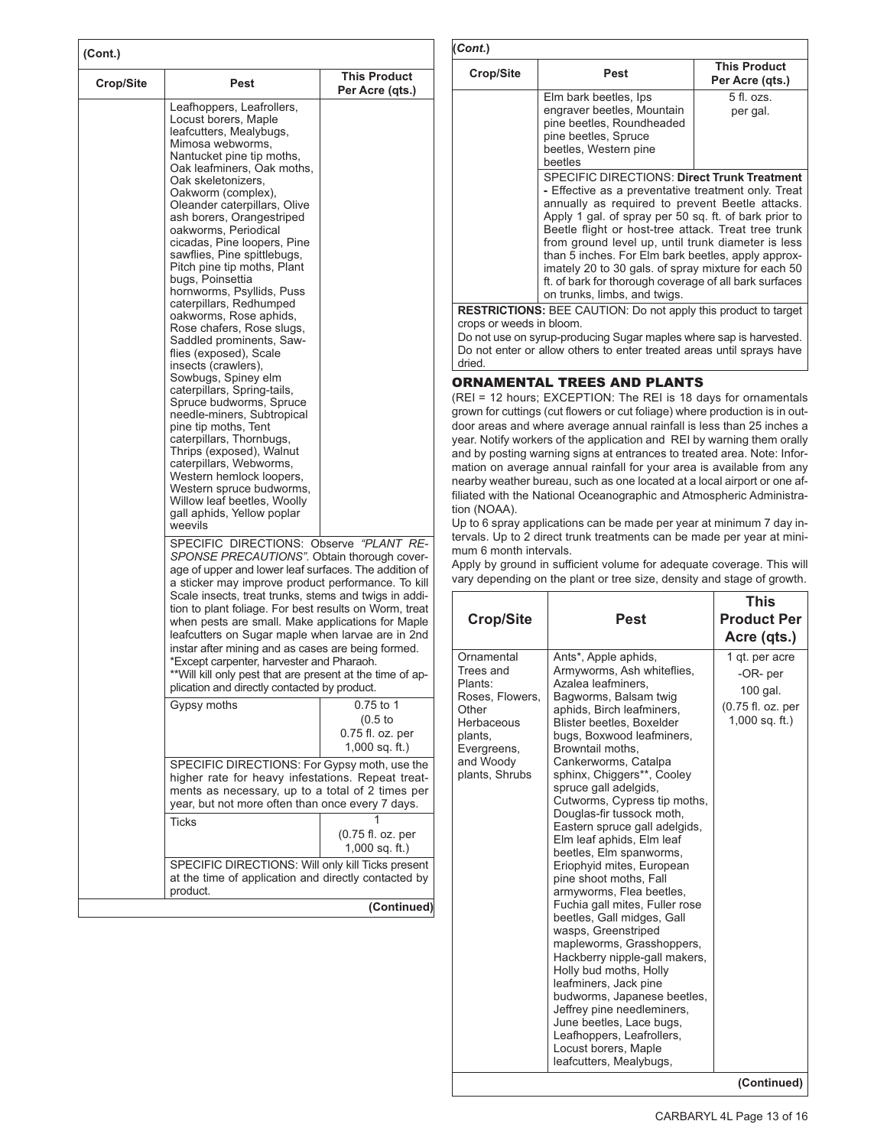| (Cont.)   |                                                                                                                                                                                                                                                                                                                                                                                                                                                                                                                                                                                                                                                                                                                                                                                                                                                                                                                                                                     |                                         |  |
|-----------|---------------------------------------------------------------------------------------------------------------------------------------------------------------------------------------------------------------------------------------------------------------------------------------------------------------------------------------------------------------------------------------------------------------------------------------------------------------------------------------------------------------------------------------------------------------------------------------------------------------------------------------------------------------------------------------------------------------------------------------------------------------------------------------------------------------------------------------------------------------------------------------------------------------------------------------------------------------------|-----------------------------------------|--|
| Crop/Site | Pest                                                                                                                                                                                                                                                                                                                                                                                                                                                                                                                                                                                                                                                                                                                                                                                                                                                                                                                                                                | <b>This Product</b><br>Per Acre (qts.)  |  |
|           | Leafhoppers, Leafrollers,<br>Locust borers, Maple<br>leafcutters, Mealybugs,<br>Mimosa webworms,<br>Nantucket pine tip moths,<br>Oak leafminers, Oak moths,<br>Oak skeletonizers,<br>Oakworm (complex),<br>Oleander caterpillars, Olive<br>ash borers, Orangestriped<br>oakworms, Periodical<br>cicadas, Pine loopers, Pine<br>sawflies, Pine spittlebugs,<br>Pitch pine tip moths, Plant<br>bugs, Poinsettia<br>hornworms, Psyllids, Puss<br>caterpillars, Redhumped<br>oakworms, Rose aphids,<br>Rose chafers, Rose slugs,<br>Saddled prominents, Saw-<br>flies (exposed), Scale<br>insects (crawlers),<br>Sowbugs, Spiney elm<br>caterpillars, Spring-tails,<br>Spruce budworms, Spruce<br>needle-miners, Subtropical<br>pine tip moths, Tent<br>caterpillars, Thornbugs,<br>Thrips (exposed), Walnut<br>caterpillars, Webworms,<br>Western hemlock loopers,<br>Western spruce budworms,<br>Willow leaf beetles, Woolly<br>gall aphids, Yellow poplar<br>weevils |                                         |  |
|           | SPECIFIC DIRECTIONS: Observe "PLANT RE-<br>SPONSE PRECAUTIONS". Obtain thorough cover-<br>age of upper and lower leaf surfaces. The addition of<br>a sticker may improve product performance. To kill<br>Scale insects, treat trunks, stems and twigs in addi-<br>tion to plant foliage. For best results on Worm, treat<br>when pests are small. Make applications for Maple<br>leafcutters on Sugar maple when larvae are in 2nd<br>instar after mining and as cases are being formed.<br>*Except carpenter, harvester and Pharaoh.<br>** Will kill only pest that are present at the time of ap-<br>plication and directly contacted by product.<br>Gypsy moths                                                                                                                                                                                                                                                                                                  | 0.75 to 1<br>(0.5)<br>0.75 fl. oz. per  |  |
|           | SPECIFIC DIRECTIONS: For Gypsy moth, use the<br>higher rate for heavy infestations. Repeat treat-<br>ments as necessary, up to a total of 2 times per<br>year, but not more often than once every 7 days.                                                                                                                                                                                                                                                                                                                                                                                                                                                                                                                                                                                                                                                                                                                                                           | $1,000$ sq. ft.)                        |  |
|           | <b>Ticks</b>                                                                                                                                                                                                                                                                                                                                                                                                                                                                                                                                                                                                                                                                                                                                                                                                                                                                                                                                                        | $(0.75$ fl. oz. per<br>$1,000$ sq. ft.) |  |
|           | SPECIFIC DIRECTIONS: Will only kill Ticks present<br>at the time of application and directly contacted by<br>product.                                                                                                                                                                                                                                                                                                                                                                                                                                                                                                                                                                                                                                                                                                                                                                                                                                               |                                         |  |
|           |                                                                                                                                                                                                                                                                                                                                                                                                                                                                                                                                                                                                                                                                                                                                                                                                                                                                                                                                                                     | (Continued)                             |  |

|                                        | pine beetles, Spruce                                                                                                                                                                                                                                                                                                                                                                                                                                                                                                                      |                                                  |
|----------------------------------------|-------------------------------------------------------------------------------------------------------------------------------------------------------------------------------------------------------------------------------------------------------------------------------------------------------------------------------------------------------------------------------------------------------------------------------------------------------------------------------------------------------------------------------------------|--------------------------------------------------|
|                                        | beetles, Western pine<br>beetles                                                                                                                                                                                                                                                                                                                                                                                                                                                                                                          |                                                  |
|                                        | <b>SPECIFIC DIRECTIONS: Direct Trunk Treatment</b><br>- Effective as a preventative treatment only. Treat<br>annually as required to prevent Beetle attacks.<br>Apply 1 gal. of spray per 50 sq. ft. of bark prior to<br>Beetle flight or host-tree attack. Treat tree trunk<br>from ground level up, until trunk diameter is less<br>than 5 inches. For Elm bark beetles, apply approx-<br>imately 20 to 30 gals. of spray mixture for each 50<br>ft. of bark for thorough coverage of all bark surfaces<br>on trunks, limbs, and twigs. |                                                  |
|                                        | <b>RESTRICTIONS: BEE CAUTION: Do not apply this product to target</b>                                                                                                                                                                                                                                                                                                                                                                                                                                                                     |                                                  |
| crops or weeds in bloom.<br>dried.     | Do not use on syrup-producing Sugar maples where sap is harvested.<br>Do not enter or allow others to enter treated areas until sprays have                                                                                                                                                                                                                                                                                                                                                                                               |                                                  |
|                                        | <b>ORNAMENTAL TREES AND PLANTS</b>                                                                                                                                                                                                                                                                                                                                                                                                                                                                                                        |                                                  |
| tion (NOAA).<br>mum 6 month intervals. | and by posting warning signs at entrances to treated area. Note: Infor-<br>mation on average annual rainfall for your area is available from any<br>nearby weather bureau, such as one located at a local airport or one af-<br>filiated with the National Oceanographic and Atmospheric Administra-<br>Up to 6 spray applications can be made per year at minimum 7 day in-<br>tervals. Up to 2 direct trunk treatments can be made per year at mini-<br>Apply by ground in sufficient volume for adequate coverage. This will           |                                                  |
|                                        | vary depending on the plant or tree size, density and stage of growth.                                                                                                                                                                                                                                                                                                                                                                                                                                                                    |                                                  |
|                                        |                                                                                                                                                                                                                                                                                                                                                                                                                                                                                                                                           |                                                  |
| <b>Crop/Site</b>                       | Pest                                                                                                                                                                                                                                                                                                                                                                                                                                                                                                                                      | <b>This</b><br><b>Product Per</b><br>Acre (qts.) |

Locust borers, Maple leafcutters, Mealybugs,

**Crop/Site** Pest **This Product Crop/Site** Pest **Pest Perform** *Perform Perform Perform Perform Perform Perform Perform Perform Perform Perform Perform Perform Perform Performa Perform Perfo* 

Elm bark beetles, Ips engraver beetles, Mountain **Per Acre (qts.)**

5 fl. ozs. per gal.

**(***Cont***.)**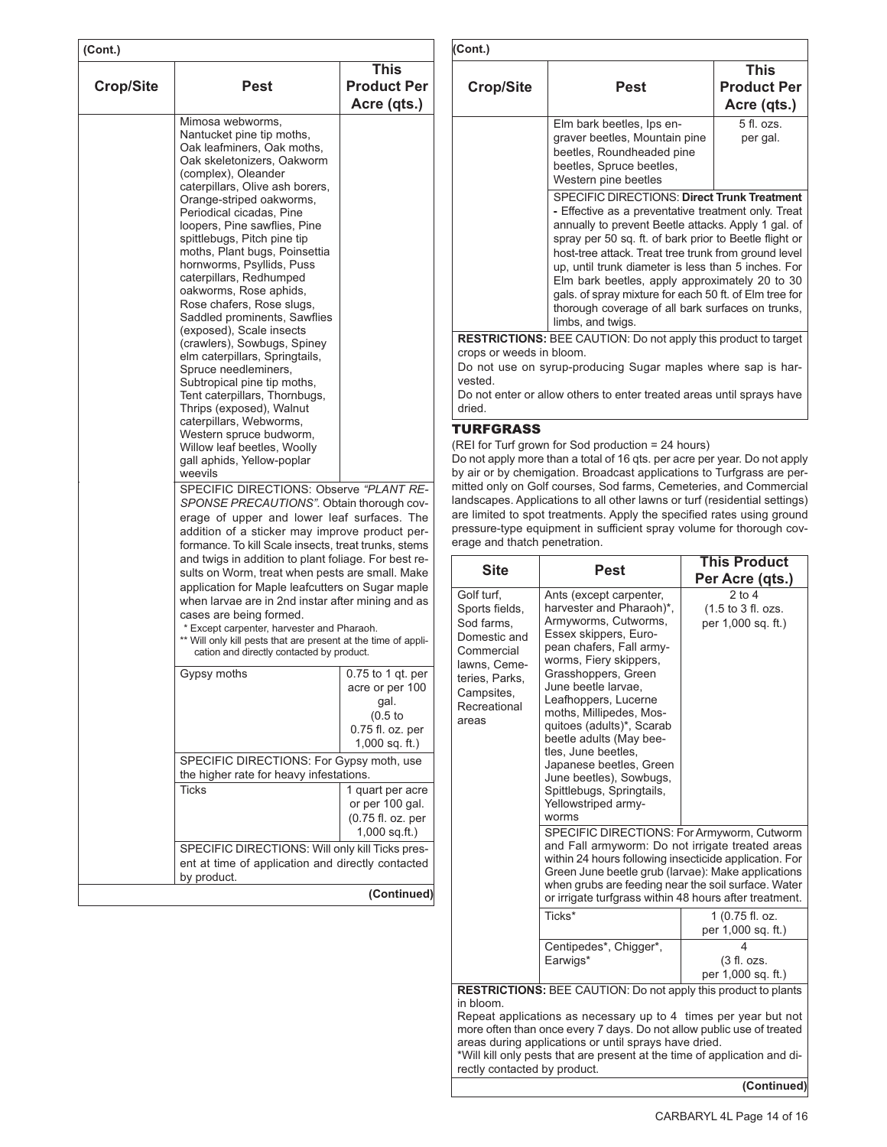| (Cont.)          |                                                                                                                                                                                                                                                                                                                                                                                                                                                                                                                                                                                                                                                                                                                                                                                                                                                                                                                                                                                                                                                                                                                                                                                                                                                                                                |                                                                                               |
|------------------|------------------------------------------------------------------------------------------------------------------------------------------------------------------------------------------------------------------------------------------------------------------------------------------------------------------------------------------------------------------------------------------------------------------------------------------------------------------------------------------------------------------------------------------------------------------------------------------------------------------------------------------------------------------------------------------------------------------------------------------------------------------------------------------------------------------------------------------------------------------------------------------------------------------------------------------------------------------------------------------------------------------------------------------------------------------------------------------------------------------------------------------------------------------------------------------------------------------------------------------------------------------------------------------------|-----------------------------------------------------------------------------------------------|
| <b>Crop/Site</b> | Pest                                                                                                                                                                                                                                                                                                                                                                                                                                                                                                                                                                                                                                                                                                                                                                                                                                                                                                                                                                                                                                                                                                                                                                                                                                                                                           | <b>This</b><br><b>Product Per</b><br>Acre (qts.)                                              |
|                  | Mimosa webworms,<br>Nantucket pine tip moths,<br>Oak leafminers, Oak moths,<br>Oak skeletonizers, Oakworm<br>(complex), Oleander<br>caterpillars, Olive ash borers,<br>Orange-striped oakworms,<br>Periodical cicadas. Pine<br>loopers, Pine sawflies, Pine<br>spittlebugs, Pitch pine tip<br>moths, Plant bugs, Poinsettia<br>hornworms, Psyllids, Puss<br>caterpillars, Redhumped<br>oakworms, Rose aphids,<br>Rose chafers, Rose slugs,<br>Saddled prominents, Sawflies<br>(exposed), Scale insects<br>(crawlers), Sowbugs, Spiney<br>elm caterpillars, Springtails,<br>Spruce needleminers,<br>Subtropical pine tip moths,<br>Tent caterpillars, Thornbugs,<br>Thrips (exposed), Walnut<br>caterpillars, Webworms,<br>Western spruce budworm,<br>Willow leaf beetles, Woolly<br>gall aphids, Yellow-poplar<br>weevils<br>SPECIFIC DIRECTIONS: Observe "PLANT RE-<br>SPONSE PRECAUTIONS". Obtain thorough cov-<br>erage of upper and lower leaf surfaces. The<br>addition of a sticker may improve product per-<br>formance. To kill Scale insects, treat trunks, stems<br>and twigs in addition to plant foliage. For best re-<br>sults on Worm, treat when pests are small. Make<br>application for Maple leafcutters on Sugar maple<br>when larvae are in 2nd instar after mining and as |                                                                                               |
|                  | cases are being formed.<br>* Except carpenter, harvester and Pharaoh.<br>** Will only kill pests that are present at the time of appli-<br>cation and directly contacted by product.                                                                                                                                                                                                                                                                                                                                                                                                                                                                                                                                                                                                                                                                                                                                                                                                                                                                                                                                                                                                                                                                                                           |                                                                                               |
|                  | Gypsy moths                                                                                                                                                                                                                                                                                                                                                                                                                                                                                                                                                                                                                                                                                                                                                                                                                                                                                                                                                                                                                                                                                                                                                                                                                                                                                    | 0.75 to 1 qt. per<br>acre or per 100<br>gal.<br>(0.5)<br>0.75 fl. oz. per<br>$1,000$ sq. ft.) |
|                  | SPECIFIC DIRECTIONS: For Gypsy moth, use<br>the higher rate for heavy infestations.                                                                                                                                                                                                                                                                                                                                                                                                                                                                                                                                                                                                                                                                                                                                                                                                                                                                                                                                                                                                                                                                                                                                                                                                            |                                                                                               |
|                  | Ticks                                                                                                                                                                                                                                                                                                                                                                                                                                                                                                                                                                                                                                                                                                                                                                                                                                                                                                                                                                                                                                                                                                                                                                                                                                                                                          | 1 quart per acre<br>or per 100 gal.<br>(0.75 fl. oz. per<br>$1,000$ sq.ft.)                   |
|                  | SPECIFIC DIRECTIONS: Will only kill Ticks pres-<br>ent at time of application and directly contacted<br>by product.                                                                                                                                                                                                                                                                                                                                                                                                                                                                                                                                                                                                                                                                                                                                                                                                                                                                                                                                                                                                                                                                                                                                                                            |                                                                                               |
|                  |                                                                                                                                                                                                                                                                                                                                                                                                                                                                                                                                                                                                                                                                                                                                                                                                                                                                                                                                                                                                                                                                                                                                                                                                                                                                                                | (Continued)                                                                                   |

|                          |                                                                                                                                                                                                                                                                                                                                          | <b>This</b>        |
|--------------------------|------------------------------------------------------------------------------------------------------------------------------------------------------------------------------------------------------------------------------------------------------------------------------------------------------------------------------------------|--------------------|
| <b>Crop/Site</b>         | Pest                                                                                                                                                                                                                                                                                                                                     | <b>Product Per</b> |
|                          |                                                                                                                                                                                                                                                                                                                                          | Acre (qts.)        |
|                          | Elm bark beetles, Ips en-                                                                                                                                                                                                                                                                                                                | 5 fl. ozs.         |
|                          | graver beetles, Mountain pine                                                                                                                                                                                                                                                                                                            | per gal.           |
|                          | beetles, Roundheaded pine                                                                                                                                                                                                                                                                                                                |                    |
|                          | beetles, Spruce beetles,                                                                                                                                                                                                                                                                                                                 |                    |
|                          | Western pine beetles                                                                                                                                                                                                                                                                                                                     |                    |
|                          | <b>SPECIFIC DIRECTIONS: Direct Trunk Treatment</b>                                                                                                                                                                                                                                                                                       |                    |
|                          | - Effective as a preventative treatment only. Treat                                                                                                                                                                                                                                                                                      |                    |
|                          | annually to prevent Beetle attacks. Apply 1 gal. of<br>spray per 50 sq. ft. of bark prior to Beetle flight or<br>host-tree attack. Treat tree trunk from ground level<br>up, until trunk diameter is less than 5 inches. For<br>Elm bark beetles, apply approximately 20 to 30<br>gals. of spray mixture for each 50 ft. of Elm tree for |                    |
|                          |                                                                                                                                                                                                                                                                                                                                          |                    |
|                          |                                                                                                                                                                                                                                                                                                                                          |                    |
|                          |                                                                                                                                                                                                                                                                                                                                          |                    |
|                          |                                                                                                                                                                                                                                                                                                                                          |                    |
|                          | thorough coverage of all bark surfaces on trunks,                                                                                                                                                                                                                                                                                        |                    |
|                          | limbs, and twigs.                                                                                                                                                                                                                                                                                                                        |                    |
|                          | <b>RESTRICTIONS: BEE CAUTION: Do not apply this product to target</b>                                                                                                                                                                                                                                                                    |                    |
| crops or weeds in bloom. |                                                                                                                                                                                                                                                                                                                                          |                    |
|                          | Do not use on syrup-producing Sugar maples where sap is har-                                                                                                                                                                                                                                                                             |                    |
| vested.                  |                                                                                                                                                                                                                                                                                                                                          |                    |
| dried.                   | Do not enter or allow others to enter treated areas until sprays have                                                                                                                                                                                                                                                                    |                    |
|                          |                                                                                                                                                                                                                                                                                                                                          |                    |

by air or by chemigation. Broadcast applications to Turfgrass are permitted only on Golf courses, Sod farms, Cemeteries, and Commercial landscapes. Applications to all other lawns or turf (residential settings) are limited to spot treatments. Apply the specified rates using ground pressure-type equipment in sufficient spray volume for thorough coverage and thatch penetration.

| <b>Site</b>                                                                                                                                           | <b>Pest</b>                                                                                                                                                                                                                                                                                                                                                                                                                                                   | <b>This Product</b>                                    |  |
|-------------------------------------------------------------------------------------------------------------------------------------------------------|---------------------------------------------------------------------------------------------------------------------------------------------------------------------------------------------------------------------------------------------------------------------------------------------------------------------------------------------------------------------------------------------------------------------------------------------------------------|--------------------------------------------------------|--|
|                                                                                                                                                       |                                                                                                                                                                                                                                                                                                                                                                                                                                                               | Per Acre (qts.)                                        |  |
| Golf turf,<br>Sports fields,<br>Sod farms.<br>Domestic and<br>Commercial<br>lawns, Ceme-<br>teries, Parks,<br>Campsites,<br>Recreational<br>areas     | Ants (except carpenter,<br>harvester and Pharaoh)*,<br>Armyworms, Cutworms,<br>Essex skippers, Euro-<br>pean chafers, Fall army-<br>worms, Fiery skippers,<br>Grasshoppers, Green<br>June beetle larvae,<br>Leafhoppers, Lucerne<br>moths, Millipedes, Mos-<br>quitoes (adults)*, Scarab<br>beetle adults (May bee-<br>tles, June beetles,<br>Japanese beetles, Green<br>June beetles), Sowbugs,<br>Spittlebugs, Springtails,<br>Yellowstriped army-<br>worms | $2$ to $4$<br>(1.5 to 3 fl. ozs.<br>per 1,000 sq. ft.) |  |
|                                                                                                                                                       | SPECIFIC DIRECTIONS: For Armyworm, Cutworm<br>and Fall armyworm: Do not irrigate treated areas<br>within 24 hours following insecticide application. For<br>Green June beetle grub (larvae): Make applications<br>when grubs are feeding near the soil surface. Water<br>or irrigate turfgrass within 48 hours after treatment.                                                                                                                               |                                                        |  |
|                                                                                                                                                       | Ticks*                                                                                                                                                                                                                                                                                                                                                                                                                                                        | 1 (0.75 fl. oz.<br>per 1,000 sq. ft.)                  |  |
|                                                                                                                                                       | Centipedes*, Chigger*,<br>Earwigs*                                                                                                                                                                                                                                                                                                                                                                                                                            | 4<br>(3 fl. ozs.<br>per 1,000 sq. ft.)                 |  |
| <b>RESTRICTIONS: BEE CAUTION: Do not apply this product to plants</b><br>in bloom.<br>Repeat applications as necessary up to 4 times per year but not |                                                                                                                                                                                                                                                                                                                                                                                                                                                               |                                                        |  |
| more often than once every 7 days. Do not allow public use of treated                                                                                 |                                                                                                                                                                                                                                                                                                                                                                                                                                                               |                                                        |  |
| areas during applications or until sprays have dried.                                                                                                 |                                                                                                                                                                                                                                                                                                                                                                                                                                                               |                                                        |  |
| *Will kill only pests that are present at the time of application and di-                                                                             |                                                                                                                                                                                                                                                                                                                                                                                                                                                               |                                                        |  |

\*Will kill only pests that are present at the time of application and directly contacted by product.

**(Continued)**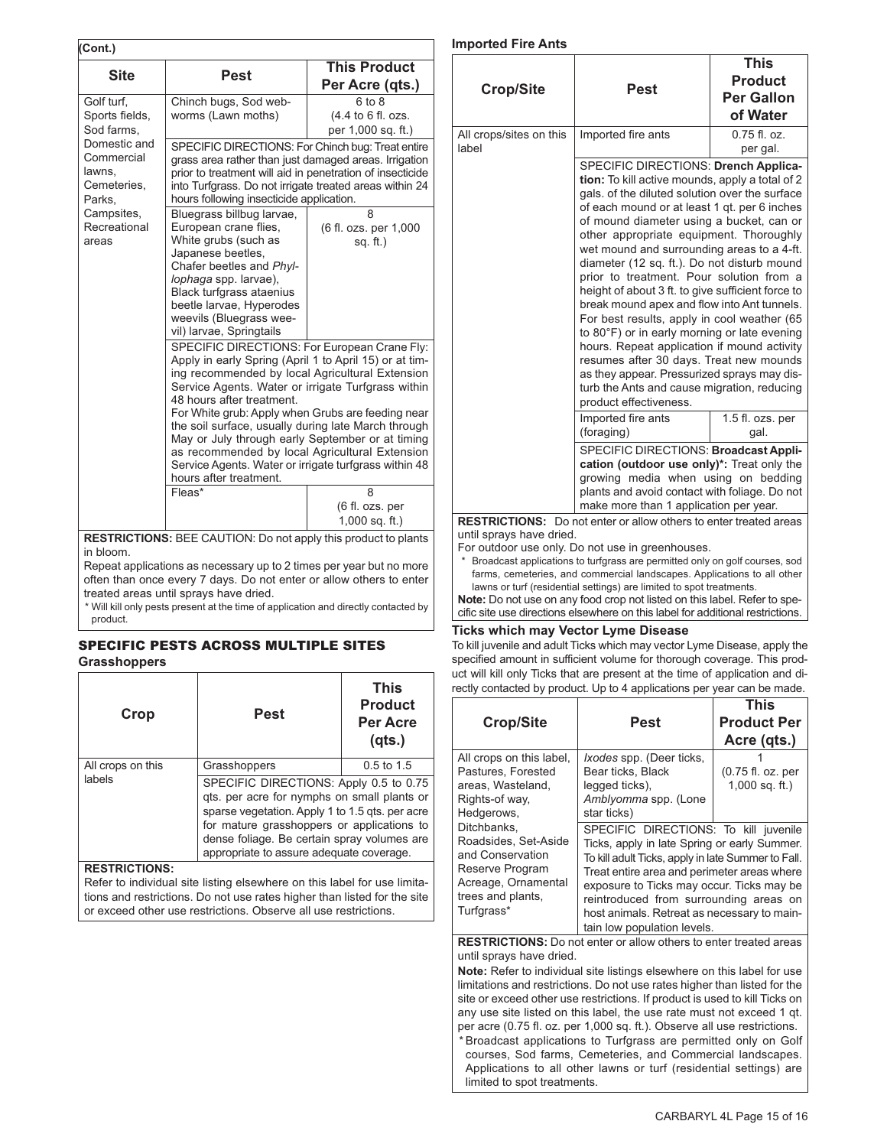| <b>Site</b>                                                   | <b>Pest</b>                                                                                                                                                                                                                                                                    | <b>This Product</b><br>Per Acre (qts.)                                                                                                                                                                                                                                                                                                                                                                                                                                                     |  |
|---------------------------------------------------------------|--------------------------------------------------------------------------------------------------------------------------------------------------------------------------------------------------------------------------------------------------------------------------------|--------------------------------------------------------------------------------------------------------------------------------------------------------------------------------------------------------------------------------------------------------------------------------------------------------------------------------------------------------------------------------------------------------------------------------------------------------------------------------------------|--|
| Golf turf,<br>Sports fields,<br>Sod farms,                    | Chinch bugs, Sod web-<br>worms (Lawn moths)                                                                                                                                                                                                                                    | 6 to 8<br>(4.4 to 6 fl. ozs.<br>per 1,000 sq. ft.)                                                                                                                                                                                                                                                                                                                                                                                                                                         |  |
| Domestic and<br>Commercial<br>lawns,<br>Cemeteries,<br>Parks. | SPECIFIC DIRECTIONS: For Chinch bug: Treat entire<br>grass area rather than just damaged areas. Irrigation<br>prior to treatment will aid in penetration of insecticide<br>into Turfgrass. Do not irrigate treated areas within 24<br>hours following insecticide application. |                                                                                                                                                                                                                                                                                                                                                                                                                                                                                            |  |
| Campsites,<br>Recreational<br>areas                           | Bluegrass billbug larvae,<br>European crane flies,<br>White grubs (such as<br>Japanese beetles,<br>Chafer beetles and Phyl-<br>lophaga spp. larvae),<br>Black turfgrass ataenius<br>beetle larvae, Hyperodes<br>weevils (Bluegrass wee-<br>vil) larvae, Springtails            | 8<br>(6 fl. ozs. per 1,000<br>$sq.$ ft.)                                                                                                                                                                                                                                                                                                                                                                                                                                                   |  |
|                                                               | 48 hours after treatment.<br>hours after treatment.                                                                                                                                                                                                                            | SPECIFIC DIRECTIONS: For European Crane Fly:<br>Apply in early Spring (April 1 to April 15) or at tim-<br>ing recommended by local Agricultural Extension<br>Service Agents. Water or irrigate Turfgrass within<br>For White grub: Apply when Grubs are feeding near<br>the soil surface, usually during late March through<br>May or July through early September or at timing<br>as recommended by local Agricultural Extension<br>Service Agents. Water or irrigate turfgrass within 48 |  |
|                                                               | Fleas*                                                                                                                                                                                                                                                                         | 8<br>(6 fl. ozs. per<br>$1,000$ sq. ft.)                                                                                                                                                                                                                                                                                                                                                                                                                                                   |  |

Repeat applications as necessary up to 2 times per year but no more often than once every 7 days. Do not enter or allow others to enter

treated areas until sprays have dried. \* Will kill only pests present at the time of application and directly contacted by product.

#### SPECIFIC PESTS ACROSS MULTIPLE SITES **Grasshoppers**

| Crop                 | <b>Pest</b>                                                                                                                                                                                                                                                                       | <b>This</b><br><b>Product</b><br><b>Per Acre</b><br>(qts.) |
|----------------------|-----------------------------------------------------------------------------------------------------------------------------------------------------------------------------------------------------------------------------------------------------------------------------------|------------------------------------------------------------|
| All crops on this    | Grasshoppers                                                                                                                                                                                                                                                                      | $0.5$ to $1.5$                                             |
| labels               | SPECIFIC DIRECTIONS: Apply 0.5 to 0.75<br>qts. per acre for nymphs on small plants or<br>sparse vegetation. Apply 1 to 1.5 qts. per acre<br>for mature grasshoppers or applications to<br>dense foliage. Be certain spray volumes are<br>appropriate to assure adequate coverage. |                                                            |
| <b>RESTRICTIONS:</b> |                                                                                                                                                                                                                                                                                   |                                                            |

Refer to individual site listing elsewhere on this label for use limita-

tions and restrictions. Do not use rates higher than listed for the site or exceed other use restrictions. Observe all use restrictions.

#### **Imported Fire Ants**

| <b>Crop/Site</b>                                                                                                                                                                                                      | <b>Pest</b>                                                                                                                                                                                                                                                                                                                                                                                                                                                                                                                                                                                                                                                                                                                                                                                                                                                                                                    | <b>This</b><br><b>Product</b><br><b>Per Gallon</b><br>of Water |
|-----------------------------------------------------------------------------------------------------------------------------------------------------------------------------------------------------------------------|----------------------------------------------------------------------------------------------------------------------------------------------------------------------------------------------------------------------------------------------------------------------------------------------------------------------------------------------------------------------------------------------------------------------------------------------------------------------------------------------------------------------------------------------------------------------------------------------------------------------------------------------------------------------------------------------------------------------------------------------------------------------------------------------------------------------------------------------------------------------------------------------------------------|----------------------------------------------------------------|
| All crops/sites on this<br>label                                                                                                                                                                                      | Imported fire ants                                                                                                                                                                                                                                                                                                                                                                                                                                                                                                                                                                                                                                                                                                                                                                                                                                                                                             | $0.75$ fl. oz.<br>per gal.                                     |
|                                                                                                                                                                                                                       | SPECIFIC DIRECTIONS: Drench Applica-<br>tion: To kill active mounds, apply a total of 2<br>gals. of the diluted solution over the surface<br>of each mound or at least 1 gt. per 6 inches<br>of mound diameter using a bucket, can or<br>other appropriate equipment. Thoroughly<br>wet mound and surrounding areas to a 4-ft.<br>diameter (12 sq. ft.). Do not disturb mound<br>prior to treatment. Pour solution from a<br>height of about 3 ft. to give sufficient force to<br>break mound apex and flow into Ant tunnels.<br>For best results, apply in cool weather (65<br>to 80°F) or in early morning or late evening<br>hours. Repeat application if mound activity<br>resumes after 30 days. Treat new mounds<br>as they appear. Pressurized sprays may dis-<br>turb the Ants and cause migration, reducing<br>product effectiveness.<br>Imported fire ants<br>1.5 fl. ozs. per<br>(foraging)<br>gal. |                                                                |
|                                                                                                                                                                                                                       |                                                                                                                                                                                                                                                                                                                                                                                                                                                                                                                                                                                                                                                                                                                                                                                                                                                                                                                |                                                                |
| SPECIFIC DIRECTIONS: Broadcast Appli-<br>cation (outdoor use only)*: Treat only the<br>growing media when using on bedding<br>plants and avoid contact with foliage. Do not<br>make more than 1 application per year. |                                                                                                                                                                                                                                                                                                                                                                                                                                                                                                                                                                                                                                                                                                                                                                                                                                                                                                                |                                                                |
| until sprays have dried.<br>$\ast$                                                                                                                                                                                    | <b>RESTRICTIONS:</b> Do not enter or allow others to enter treated areas<br>For outdoor use only. Do not use in greenhouses.<br>Broadcast applications to turfgrass are permitted only on golf courses, sod<br>farms, cemeteries, and commercial landscapes. Applications to all other<br>$\mathcal{L} = \mathcal{L} \times \mathcal{L} = \mathcal{L} \times \mathcal{L} = \mathcal{L} \times \mathcal{L} = \mathcal{L} \times \mathcal{L} \times \mathcal{L} = \mathcal{L} \times \mathcal{L} \times \mathcal{L} \times \mathcal{L}$                                                                                                                                                                                                                                                                                                                                                                          |                                                                |

lawns or turf (residential settings) are limited to spot treatments. **Note:** Do not use on any food crop not listed on this label. Refer to spe-

cific site use directions elsewhere on this label for additional restrictions.

#### **Ticks which may Vector Lyme Disease**

To kill juvenile and adult Ticks which may vector Lyme Disease, apply the specified amount in sufficient volume for thorough coverage. This product will kill only Ticks that are present at the time of application and directly contacted by product. Up to 4 applications per year can be made.

|                                                                                                                                      |                                                                                                                                                                                                                                                                                                                                                                 | This                                  |
|--------------------------------------------------------------------------------------------------------------------------------------|-----------------------------------------------------------------------------------------------------------------------------------------------------------------------------------------------------------------------------------------------------------------------------------------------------------------------------------------------------------------|---------------------------------------|
| <b>Crop/Site</b>                                                                                                                     | Pest                                                                                                                                                                                                                                                                                                                                                            | <b>Product Per</b>                    |
|                                                                                                                                      |                                                                                                                                                                                                                                                                                                                                                                 | Acre (qts.)                           |
| All crops on this label,<br>Pastures, Forested<br>areas, Wasteland,<br>Rights-of way.<br>Hedgerows,                                  | <i>Ixodes</i> spp. (Deer ticks,<br>Bear ticks, Black<br>legged ticks),<br>Amblyomma spp. (Lone<br>star ticks)                                                                                                                                                                                                                                                   | (0.75 fl. oz. per<br>$1,000$ sq. ft.) |
| Ditchbanks.<br>Roadsides, Set-Aside<br>and Conservation<br>Reserve Program<br>Acreage, Ornamental<br>trees and plants.<br>Turfgrass* | SPECIFIC DIRECTIONS: To kill juvenile<br>Ticks, apply in late Spring or early Summer.<br>To kill adult Ticks, apply in late Summer to Fall.<br>Treat entire area and perimeter areas where<br>exposure to Ticks may occur. Ticks may be<br>reintroduced from surrounding areas on<br>host animals. Retreat as necessary to main-<br>tain low population levels. |                                       |

**RESTRICTIONS:** Do not enter or allow others to enter treated areas until sprays have dried.

**Note:** Refer to individual site listings elsewhere on this label for use limitations and restrictions. Do not use rates higher than listed for the site or exceed other use restrictions. If product is used to kill Ticks on any use site listed on this label, the use rate must not exceed 1 qt. per acre (0.75 fl. oz. per 1,000 sq. ft.). Observe all use restrictions. \* Broadcast applications to Turfgrass are permitted only on Golf courses, Sod farms, Cemeteries, and Commercial landscapes. Applications to all other lawns or turf (residential settings) are limited to spot treatments.